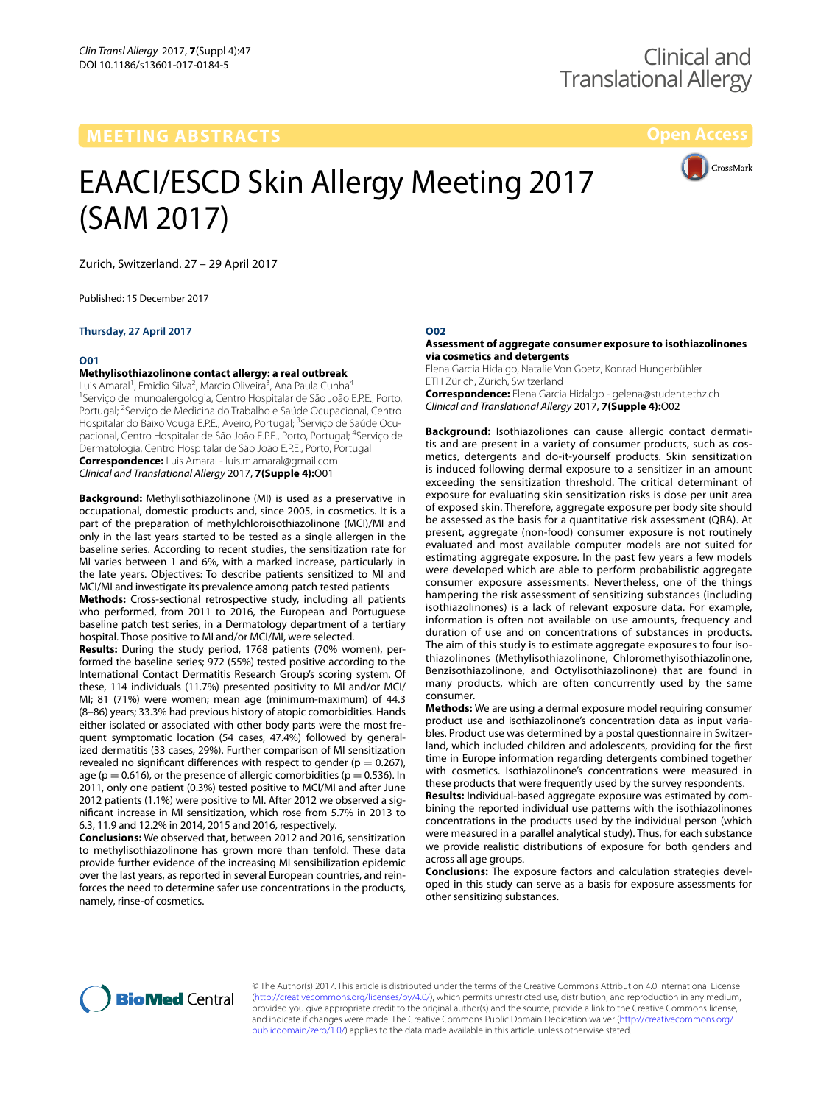# **MEETING ABSTRACTS**

# **Open Access**



# EAACI/ESCD Skin Allergy Meeting 2017 (SAM 2017)

Zurich, Switzerland. 27 – 29 April 2017

Published: 15 December 2017

# **Thursday, 27 April 2017**

# **O01**

# **Methylisothiazolinone contact allergy: a real outbreak**

Luis Amaral<sup>1</sup>, Emidio Silva<sup>2</sup>, Marcio Oliveira<sup>3</sup>, Ana Paula Cunha<sup>4</sup> <sup>1</sup> Serviço de Imunoalergologia, Centro Hospitalar de São João E.P.E., Porto, Portugal; <sup>2</sup>Serviço de Medicina do Trabalho e Saúde Ocupacional, Centro Hospitalar do Baixo Vouga E.P.E., Aveiro, Portugal; <sup>3</sup>Serviço de Saúde Ocupacional, Centro Hospitalar de São João E.P.E., Porto, Portugal; <sup>4</sup>Serviço de Dermatologia, Centro Hospitalar de São João E.P.E., Porto, Portugal **Correspondence:** Luis Amaral ‑ luis.m.amaral@gmail.com *Clinical and Translational Allergy* 2017, **7(Supple 4):**O01

**Background:** Methylisothiazolinone (MI) is used as a preservative in occupational, domestic products and, since 2005, in cosmetics. It is a part of the preparation of methylchloroisothiazolinone (MCI)/MI and only in the last years started to be tested as a single allergen in the baseline series. According to recent studies, the sensitization rate for MI varies between 1 and 6%, with a marked increase, particularly in the late years. Objectives: To describe patients sensitized to MI and MCI/MI and investigate its prevalence among patch tested patients

**Methods:** Cross-sectional retrospective study, including all patients who performed, from 2011 to 2016, the European and Portuguese baseline patch test series, in a Dermatology department of a tertiary hospital. Those positive to MI and/or MCI/MI, were selected.

**Results:** During the study period, 1768 patients (70% women), performed the baseline series; 972 (55%) tested positive according to the International Contact Dermatitis Research Group's scoring system. Of these, 114 individuals (11.7%) presented positivity to MI and/or MCI/ MI; 81 (71%) were women; mean age (minimum-maximum) of 44.3 (8–86) years; 33.3% had previous history of atopic comorbidities. Hands either isolated or associated with other body parts were the most frequent symptomatic location (54 cases, 47.4%) followed by generalized dermatitis (33 cases, 29%). Further comparison of MI sensitization revealed no significant differences with respect to gender ( $p = 0.267$ ), age ( $p = 0.616$ ), or the presence of allergic comorbidities ( $p = 0.536$ ). In 2011, only one patient (0.3%) tested positive to MCI/MI and after June 2012 patients (1.1%) were positive to MI. After 2012 we observed a signifcant increase in MI sensitization, which rose from 5.7% in 2013 to 6.3, 11.9 and 12.2% in 2014, 2015 and 2016, respectively.

**Conclusions:** We observed that, between 2012 and 2016, sensitization to methylisothiazolinone has grown more than tenfold. These data provide further evidence of the increasing MI sensibilization epidemic over the last years, as reported in several European countries, and reinforces the need to determine safer use concentrations in the products, namely, rinse-of cosmetics.

# **O02**

#### **Assessment of aggregate consumer exposure to isothiazolinones via cosmetics and detergents**

Elena Garcia Hidalgo, Natalie Von Goetz, Konrad Hungerbühler ETH Zürich, Zürich, Switzerland **Correspondence:** Elena Garcia Hidalgo ‑ gelena@student.ethz.ch

*Clinical and Translational Allergy* 2017, **7(Supple 4):**O02

**Background:** Isothiazoliones can cause allergic contact dermatitis and are present in a variety of consumer products, such as cosmetics, detergents and do-it-yourself products. Skin sensitization is induced following dermal exposure to a sensitizer in an amount exceeding the sensitization threshold. The critical determinant of exposure for evaluating skin sensitization risks is dose per unit area of exposed skin. Therefore, aggregate exposure per body site should be assessed as the basis for a quantitative risk assessment (QRA). At present, aggregate (non-food) consumer exposure is not routinely evaluated and most available computer models are not suited for estimating aggregate exposure. In the past few years a few models were developed which are able to perform probabilistic aggregate consumer exposure assessments. Nevertheless, one of the things hampering the risk assessment of sensitizing substances (including isothiazolinones) is a lack of relevant exposure data. For example, information is often not available on use amounts, frequency and duration of use and on concentrations of substances in products. The aim of this study is to estimate aggregate exposures to four isothiazolinones (Methylisothiazolinone, Chloromethyisothiazolinone, Benzisothiazolinone, and Octylisothiazolinone) that are found in many products, which are often concurrently used by the same consumer.

**Methods:** We are using a dermal exposure model requiring consumer product use and isothiazolinone's concentration data as input variables. Product use was determined by a postal questionnaire in Switzerland, which included children and adolescents, providing for the frst time in Europe information regarding detergents combined together with cosmetics. Isothiazolinone's concentrations were measured in these products that were frequently used by the survey respondents.

**Results:** Individual-based aggregate exposure was estimated by combining the reported individual use patterns with the isothiazolinones concentrations in the products used by the individual person (which were measured in a parallel analytical study). Thus, for each substance we provide realistic distributions of exposure for both genders and across all age groups.

**Conclusions:** The exposure factors and calculation strategies developed in this study can serve as a basis for exposure assessments for other sensitizing substances.



© The Author(s) 2017. This article is distributed under the terms of the Creative Commons Attribution 4.0 International License [\(http://creativecommons.org/licenses/by/4.0/\)](http://creativecommons.org/licenses/by/4.0/), which permits unrestricted use, distribution, and reproduction in any medium, provided you give appropriate credit to the original author(s) and the source, provide a link to the Creative Commons license, and indicate if changes were made. The Creative Commons Public Domain Dedication waiver ([http://creativecommons.org/](http://creativecommons.org/publicdomain/zero/1.0/) [publicdomain/zero/1.0/](http://creativecommons.org/publicdomain/zero/1.0/)) applies to the data made available in this article, unless otherwise stated.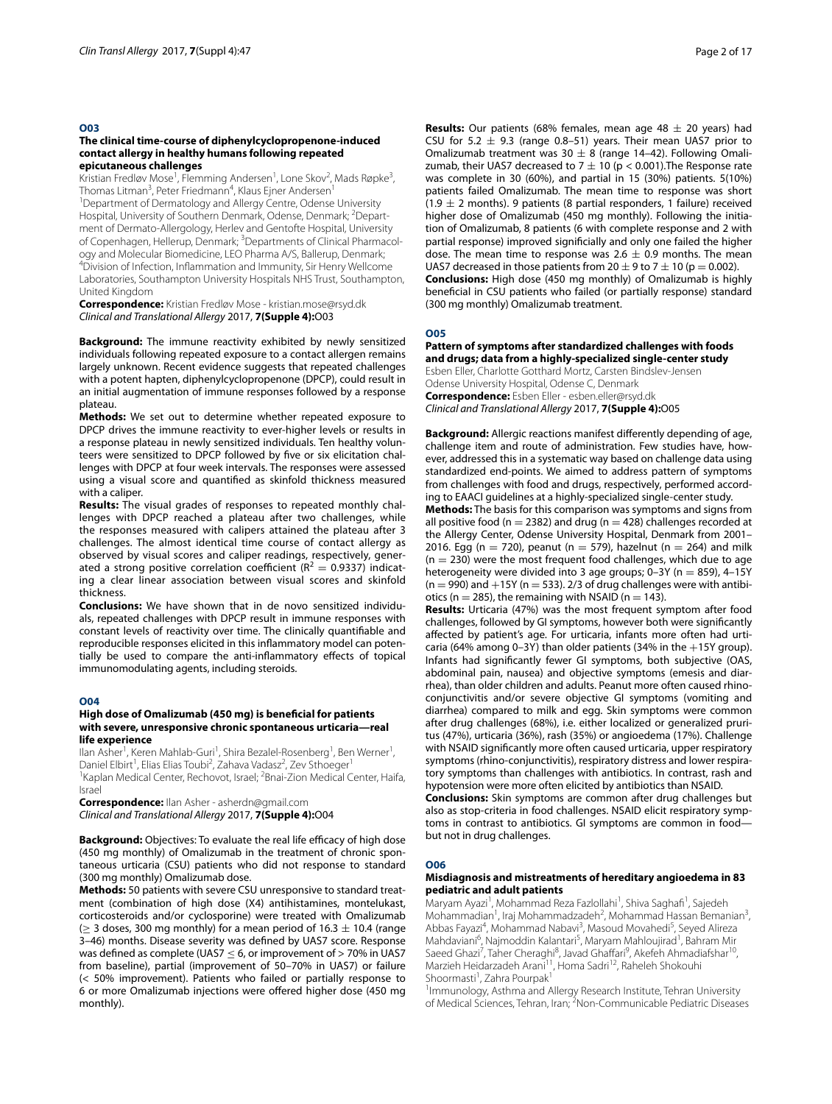# **O03**

## **The clinical time‑course of diphenylcyclopropenone‑induced contact allergy in healthy humans following repeated epicutaneous challenges**

Kristian Fredløv Mose<sup>1</sup>, Flemming Andersen<sup>1</sup>, Lone Skov<sup>2</sup>, Mads Røpke<sup>3</sup>, Thomas Litman<sup>3</sup>, Peter Friedmann<sup>4</sup>, Klaus Ejner Andersen<sup>1</sup> <sup>1</sup> Department of Dermatology and Allergy Centre, Odense University Hospital, University of Southern Denmark, Odense, Denmark; <sup>2</sup>Department of Dermato‑Allergology, Herlev and Gentofte Hospital, University of Copenhagen, Hellerup, Denmark; <sup>3</sup>Departments of Clinical Pharmacology and Molecular Biomedicine, LEO Pharma A/S, Ballerup, Denmark; 4 Division of Infection, Infammation and Immunity, Sir Henry Wellcome Laboratories, Southampton University Hospitals NHS Trust, Southampton, United Kingdom

**Correspondence:** Kristian Fredløv Mose ‑ kristian.mose@rsyd.dk *Clinical and Translational Allergy* 2017, **7(Supple 4):**O03

**Background:** The immune reactivity exhibited by newly sensitized individuals following repeated exposure to a contact allergen remains largely unknown. Recent evidence suggests that repeated challenges with a potent hapten, diphenylcyclopropenone (DPCP), could result in an initial augmentation of immune responses followed by a response plateau.

**Methods:** We set out to determine whether repeated exposure to DPCP drives the immune reactivity to ever-higher levels or results in a response plateau in newly sensitized individuals. Ten healthy volunteers were sensitized to DPCP followed by fve or six elicitation challenges with DPCP at four week intervals. The responses were assessed using a visual score and quantifed as skinfold thickness measured with a caliper.

**Results:** The visual grades of responses to repeated monthly challenges with DPCP reached a plateau after two challenges, while the responses measured with calipers attained the plateau after 3 challenges. The almost identical time course of contact allergy as observed by visual scores and caliper readings, respectively, generated a strong positive correlation coefficient ( $R^2 = 0.9337$ ) indicating a clear linear association between visual scores and skinfold thickness.

**Conclusions:** We have shown that in de novo sensitized individuals, repeated challenges with DPCP result in immune responses with constant levels of reactivity over time. The clinically quantifable and reproducible responses elicited in this infammatory model can potentially be used to compare the anti-infammatory efects of topical immunomodulating agents, including steroids.

#### **O04**

# **High dose of Omalizumab (450 mg) is benefcial for patients with severe, unresponsive chronic spontaneous urticaria—real life experience**

llan Asher<sup>1</sup>, Keren Mahlab-Guri<sup>1</sup>, Shira Bezalel-Rosenberg<sup>1</sup>, Ben Werner<sup>1</sup>, Daniel Elbirt<sup>1</sup>, Elias Elias Toubi<sup>2</sup>, Zahava Vadasz<sup>2</sup>, Zev Sthoeger<sup>1</sup> <sup>1</sup> Kaplan Medical Center, Rechovot, Israel; <sup>2</sup> Bnai-Zion Medical Center, Haifa, Israel **Correspondence:** Ilan Asher ‑ asherdn@gmail.com

*Clinical and Translational Allergy* 2017, **7(Supple 4):**O04

**Background:** Objectives: To evaluate the real life efficacy of high dose (450 mg monthly) of Omalizumab in the treatment of chronic spontaneous urticaria (CSU) patients who did not response to standard (300 mg monthly) Omalizumab dose.

**Methods:** 50 patients with severe CSU unresponsive to standard treatment (combination of high dose (X4) antihistamines, montelukast, corticosteroids and/or cyclosporine) were treated with Omalizumab  $\geq$  3 doses, 300 mg monthly) for a mean period of 16.3  $\pm$  10.4 (range 3–46) months. Disease severity was defned by UAS7 score. Response was defined as complete (UAS7  $\leq$  6, or improvement of > 70% in UAS7 from baseline), partial (improvement of 50–70% in UAS7) or failure (< 50% improvement). Patients who failed or partially response to 6 or more Omalizumab injections were ofered higher dose (450 mg monthly).

**Results:** Our patients (68% females, mean age  $48 \pm 20$  years) had CSU for 5.2  $\pm$  9.3 (range 0.8–51) years. Their mean UAS7 prior to Omalizumab treatment was  $30 \pm 8$  (range 14-42). Following Omalizumab, their UAS7 decreased to  $7 \pm 10$  (p < 0.001). The Response rate was complete in 30 (60%), and partial in 15 (30%) patients. 5(10%) patients failed Omalizumab. The mean time to response was short (1.9  $\pm$  2 months). 9 patients (8 partial responders, 1 failure) received higher dose of Omalizumab (450 mg monthly). Following the initiation of Omalizumab, 8 patients (6 with complete response and 2 with partial response) improved signifcially and only one failed the higher dose. The mean time to response was  $2.6 \pm 0.9$  months. The mean UAS7 decreased in those patients from 20  $\pm$  9 to 7  $\pm$  10 (p = 0.002). **Conclusions:** High dose (450 mg monthly) of Omalizumab is highly benefcial in CSU patients who failed (or partially response) standard (300 mg monthly) Omalizumab treatment.

# **O05**

# **Pattern of symptoms after standardized challenges with foods and drugs; data from a highly‑specialized single‑center study**

Esben Eller, Charlotte Gotthard Mortz, Carsten Bindslev‑Jensen Odense University Hospital, Odense C, Denmark **Correspondence:** Esben Eller ‑ esben.eller@rsyd.dk

*Clinical and Translational Allergy* 2017, **7(Supple 4):**O05

**Background:** Allergic reactions manifest diferently depending of age, challenge item and route of administration. Few studies have, however, addressed this in a systematic way based on challenge data using standardized end-points. We aimed to address pattern of symptoms from challenges with food and drugs, respectively, performed according to EAACI guidelines at a highly-specialized single-center study.

**Methods:** The basis for this comparison was symptoms and signs from all positive food ( $n = 2382$ ) and drug ( $n = 428$ ) challenges recorded at the Allergy Center, Odense University Hospital, Denmark from 2001– 2016. Egg (n = 720), peanut (n = 579), hazelnut (n = 264) and milk  $(n = 230)$  were the most frequent food challenges, which due to age heterogeneity were divided into 3 age groups;  $0-3Y$  (n = 859), 4-15Y  $(n = 990)$  and  $+15Y$  (n = 533). 2/3 of drug challenges were with antibiotics ( $n = 285$ ), the remaining with NSAID ( $n = 143$ ).

**Results:** Urticaria (47%) was the most frequent symptom after food challenges, followed by GI symptoms, however both were signifcantly afected by patient's age. For urticaria, infants more often had urticaria (64% among 0–3Y) than older patients (34% in the  $+15$ Y group). Infants had signifcantly fewer GI symptoms, both subjective (OAS, abdominal pain, nausea) and objective symptoms (emesis and diarrhea), than older children and adults. Peanut more often caused rhinoconjunctivitis and/or severe objective GI symptoms (vomiting and diarrhea) compared to milk and egg. Skin symptoms were common after drug challenges (68%), i.e. either localized or generalized pruritus (47%), urticaria (36%), rash (35%) or angioedema (17%). Challenge with NSAID signifcantly more often caused urticaria, upper respiratory symptoms (rhino-conjunctivitis), respiratory distress and lower respiratory symptoms than challenges with antibiotics. In contrast, rash and hypotension were more often elicited by antibiotics than NSAID.

**Conclusions:** Skin symptoms are common after drug challenges but also as stop-criteria in food challenges. NSAID elicit respiratory symptoms in contrast to antibiotics. GI symptoms are common in food but not in drug challenges.

# **O06**

#### **Misdiagnosis and mistreatments of hereditary angioedema in 83 pediatric and adult patients**

Maryam Ayazi<sup>1</sup>, Mohammad Reza Fazlollahi<sup>1</sup>, Shiva Saghafi<sup>1</sup>, Sajedeh Mohammadian<sup>1</sup>, Iraj Mohammadzadeh<sup>2</sup>, Mohammad Hassan Bemanian<sup>3</sup>, Abbas Fayazi<sup>4</sup>, Mohammad Nabavi<sup>3</sup>, Masoud Movahedi<sup>5</sup>, Seyed Alireza Mahdaviani<sup>6</sup>, Najmoddin Kalantari<sup>5</sup>, Maryam Mahloujirad<sup>1</sup>, Bahram Mir<br>Saeed Ghazi<sup>7</sup>, Taher Cheraghi<sup>8</sup>, Javad Ghaffari<sup>9</sup>, Akefeh Ahmadiafshar<sup>10</sup>, Marzieh Heidarzadeh Arani<sup>11</sup>, Homa Sadri<sup>12</sup>, Raheleh Shokouhi Shoormasti<sup>1</sup>, Zahra Pourpak<sup>1</sup>

<sup>1</sup> Immunology, Asthma and Allergy Research Institute, Tehran University of Medical Sciences, Tehran, Iran; <sup>2</sup>Non-Communicable Pediatric Diseases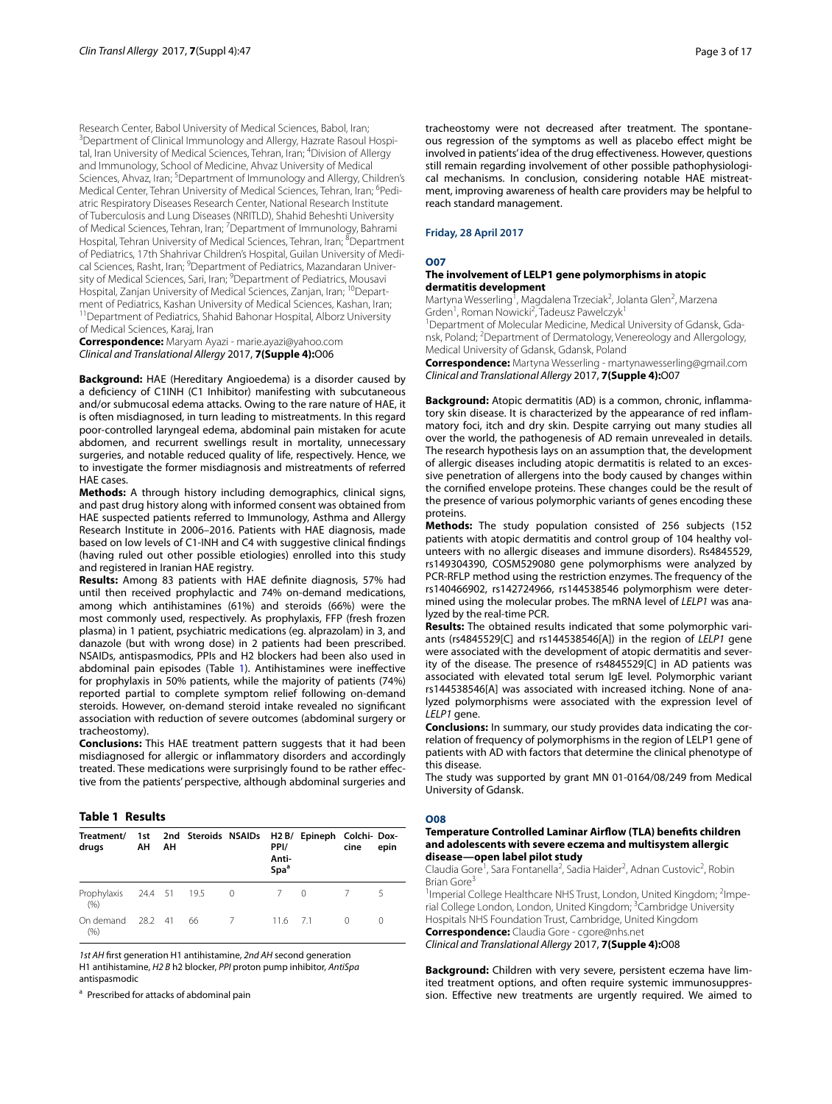Research Center, Babol University of Medical Sciences, Babol, Iran; <sup>3</sup> Department of Clinical Immunology and Allergy, Hazrate Rasoul Hospital, Iran University of Medical Sciences, Tehran, Iran; <sup>4</sup> Division of Allergy and Immunology, School of Medicine, Ahvaz University of Medical Sciences, Ahvaz, Iran; <sup>5</sup>Department of Immunology and Allergy, Children's Medical Center, Tehran University of Medical Sciences, Tehran, Iran; <sup>6</sup>Pediatric Respiratory Diseases Research Center, National Research Institute of Tuberculosis and Lung Diseases (NRITLD), Shahid Beheshti University of Medical Sciences, Tehran, Iran; <sup>7</sup> Department of Immunology, Bahrami Hospital, Tehran University of Medical Sciences, Tehran, Iran; <sup>8</sup>Department of Pediatrics, 17th Shahrivar Children's Hospital, Guilan University of Medical Sciences, Rasht, Iran; <sup>9</sup>Department of Pediatrics, Mazandaran University of Medical Sciences, Sari, Iran; <sup>9</sup>Department of Pediatrics, Mousavi Hospital, Zanjan University of Medical Sciences, Zanjan, Iran; <sup>10</sup>Department of Pediatrics, Kashan University of Medical Sciences, Kashan, Iran; 11Department of Pediatrics, Shahid Bahonar Hospital, Alborz University of Medical Sciences, Karaj, Iran

**Correspondence:** Maryam Ayazi ‑ marie.ayazi@yahoo.com *Clinical and Translational Allergy* 2017, **7(Supple 4):**O06

**Background:** HAE (Hereditary Angioedema) is a disorder caused by a defciency of C1INH (C1 Inhibitor) manifesting with subcutaneous and/or submucosal edema attacks. Owing to the rare nature of HAE, it is often misdiagnosed, in turn leading to mistreatments. In this regard poor-controlled laryngeal edema, abdominal pain mistaken for acute abdomen, and recurrent swellings result in mortality, unnecessary surgeries, and notable reduced quality of life, respectively. Hence, we to investigate the former misdiagnosis and mistreatments of referred HAE cases.

**Methods:** A through history including demographics, clinical signs, and past drug history along with informed consent was obtained from HAE suspected patients referred to Immunology, Asthma and Allergy Research Institute in 2006–2016. Patients with HAE diagnosis, made based on low levels of C1-INH and C4 with suggestive clinical fndings (having ruled out other possible etiologies) enrolled into this study and registered in Iranian HAE registry.

**Results:** Among 83 patients with HAE defnite diagnosis, 57% had until then received prophylactic and 74% on-demand medications, among which antihistamines (61%) and steroids (66%) were the most commonly used, respectively. As prophylaxis, FFP (fresh frozen plasma) in 1 patient, psychiatric medications (eg. alprazolam) in 3, and danazole (but with wrong dose) in 2 patients had been prescribed. NSAIDs, antispasmodics, PPIs and H2 blockers had been also used in abdominal pain episodes (Table [1](#page-2-0)). Antihistamines were inefective for prophylaxis in 50% patients, while the majority of patients (74%) reported partial to complete symptom relief following on-demand steroids. However, on-demand steroid intake revealed no signifcant association with reduction of severe outcomes (abdominal surgery or tracheostomy).

**Conclusions:** This HAE treatment pattern suggests that it had been misdiagnosed for allergic or infammatory disorders and accordingly treated. These medications were surprisingly found to be rather efective from the patients' perspective, although abdominal surgeries and

# <span id="page-2-0"></span>**Table 1 Results**

| Treatment/<br>drugs                | AH | AH |                 | PPI/<br>Anti-<br>Spa <sup>a</sup> | 1st 2nd Steroids NSAIDs H2B/ Epineph Colchi-Dox- | cine           | epin |
|------------------------------------|----|----|-----------------|-----------------------------------|--------------------------------------------------|----------------|------|
| Prophylaxis 24.4 51 19.5 0<br>(% ) |    |    |                 | $7 \quad 0$                       |                                                  |                | 5    |
| On demand 28.2 41 66<br>(96)       |    |    | $7\overline{)}$ | $11.6$ 7.1                        |                                                  | $\overline{0}$ |      |

*1st AH* frst generation H1 antihistamine, *2nd AH* second generation H1 antihistamine, *H2 B* h2 blocker, *PPI* proton pump inhibitor, *AntiSpa* antispasmodic

<sup>a</sup> Prescribed for attacks of abdominal pain

tracheostomy were not decreased after treatment. The spontaneous regression of the symptoms as well as placebo efect might be involved in patients' idea of the drug efectiveness. However, questions still remain regarding involvement of other possible pathophysiological mechanisms. In conclusion, considering notable HAE mistreatment, improving awareness of health care providers may be helpful to reach standard management.

#### **Friday, 28 April 2017**

#### **O07**

#### **The involvement of LELP1 gene polymorphisms in atopic dermatitis development**

Martyna Wesserling<sup>1</sup>, Magdalena Trzeciak<sup>2</sup>, Jolanta Glen<sup>2</sup>, Marzena Grden<sup>1</sup>, Roman Nowicki<sup>2</sup>, Tadeusz Pawelczyk<sup>1</sup>

<sup>1</sup>Department of Molecular Medicine, Medical University of Gdansk, Gdansk, Poland; <sup>2</sup> Department of Dermatology, Venereology and Allergology, Medical University of Gdansk, Gdansk, Poland

**Correspondence:** Martyna Wesserling ‑ martynawesserling@gmail.com *Clinical and Translational Allergy* 2017, **7(Supple 4):**O07

**Background:** Atopic dermatitis (AD) is a common, chronic, infammatory skin disease. It is characterized by the appearance of red infammatory foci, itch and dry skin. Despite carrying out many studies all over the world, the pathogenesis of AD remain unrevealed in details. The research hypothesis lays on an assumption that, the development of allergic diseases including atopic dermatitis is related to an excessive penetration of allergens into the body caused by changes within the cornifed envelope proteins. These changes could be the result of the presence of various polymorphic variants of genes encoding these proteins.

**Methods:** The study population consisted of 256 subjects (152 patients with atopic dermatitis and control group of 104 healthy volunteers with no allergic diseases and immune disorders). Rs4845529, rs149304390, COSM529080 gene polymorphisms were analyzed by PCR-RFLP method using the restriction enzymes. The frequency of the rs140466902, rs142724966, rs144538546 polymorphism were determined using the molecular probes. The mRNA level of *LELP1* was analyzed by the real-time PCR.

**Results:** The obtained results indicated that some polymorphic variants (rs4845529[C] and rs144538546[A]) in the region of *LELP1* gene were associated with the development of atopic dermatitis and severity of the disease. The presence of rs4845529[C] in AD patients was associated with elevated total serum IgE level. Polymorphic variant rs144538546[A] was associated with increased itching. None of analyzed polymorphisms were associated with the expression level of *LELP1* gene.

**Conclusions:** In summary, our study provides data indicating the correlation of frequency of polymorphisms in the region of LELP1 gene of patients with AD with factors that determine the clinical phenotype of this disease.

The study was supported by grant MN 01-0164/08/249 from Medical University of Gdansk.

#### **O08**

# **Temperature Controlled Laminar Airfow (TLA) benefts children and adolescents with severe eczema and multisystem allergic disease—open label pilot study**

Claudia Gore<sup>1</sup>, Sara Fontanella<sup>2</sup>, Sadia Haider<sup>2</sup>, Adnan Custovic<sup>2</sup>, Robin Brian Gore<sup>3</sup>

<sup>1</sup>Imperial College Healthcare NHS Trust, London, United Kingdom; <sup>2</sup>Imperial College London, London, United Kingdom; <sup>3</sup>Cambridge University Hospitals NHS Foundation Trust, Cambridge, United Kingdom **Correspondence:** Claudia Gore ‑ cgore@nhs.net

*Clinical and Translational Allergy* 2017, **7(Supple 4):**O08

**Background:** Children with very severe, persistent eczema have limited treatment options, and often require systemic immunosuppression. Efective new treatments are urgently required. We aimed to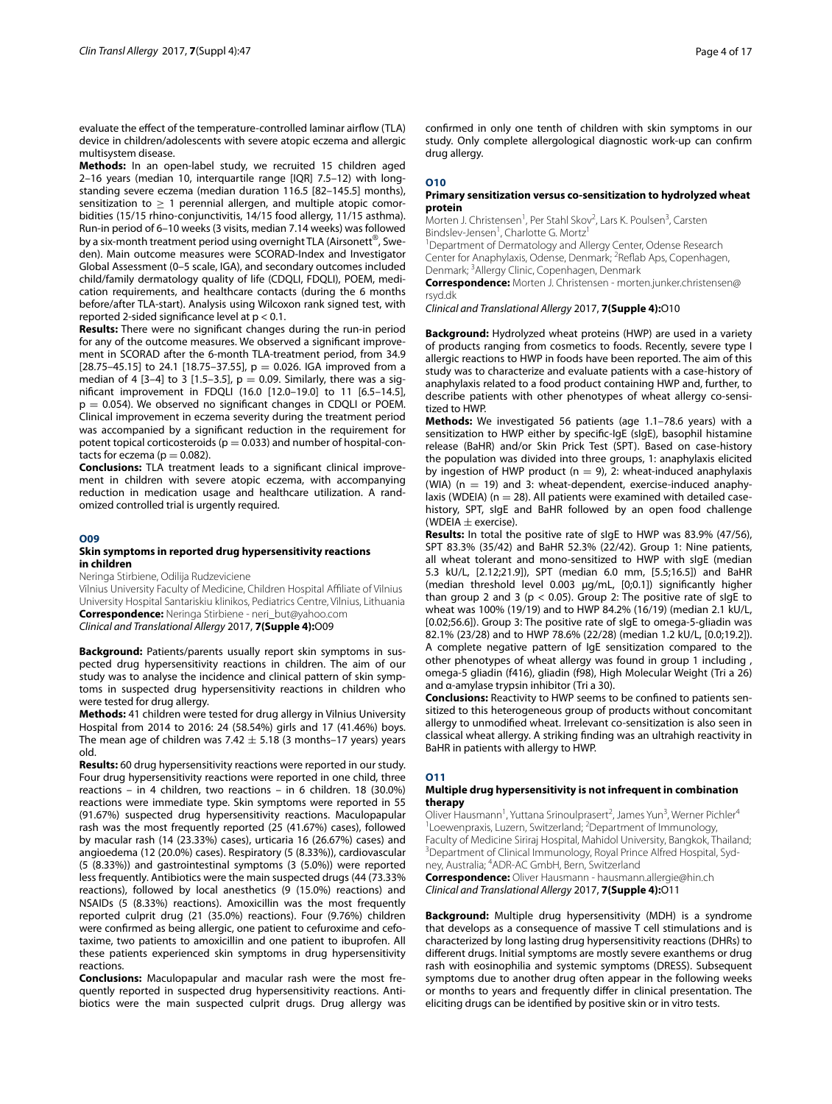evaluate the efect of the temperature-controlled laminar airfow (TLA) device in children/adolescents with severe atopic eczema and allergic multisystem disease.

**Methods:** In an open-label study, we recruited 15 children aged 2–16 years (median 10, interquartile range [IQR] 7.5–12) with longstanding severe eczema (median duration 116.5 [82–145.5] months), sensitization to  $\geq 1$  perennial allergen, and multiple atopic comorbidities (15/15 rhino-conjunctivitis, 14/15 food allergy, 11/15 asthma). Run-in period of 6–10 weeks (3 visits, median 7.14 weeks) was followed by a six-month treatment period using overnight TLA (Airsonett®, Sweden). Main outcome measures were SCORAD-Index and Investigator Global Assessment (0–5 scale, IGA), and secondary outcomes included child/family dermatology quality of life (CDQLI, FDQLI), POEM, medication requirements, and healthcare contacts (during the 6 months before/after TLA-start). Analysis using Wilcoxon rank signed test, with reported 2-sided signifcance level at p < 0.1.

**Results:** There were no signifcant changes during the run-in period for any of the outcome measures. We observed a signifcant improvement in SCORAD after the 6-month TLA-treatment period, from 34.9 [28.75–45.15] to 24.1 [18.75–37.55],  $p = 0.026$ . IGA improved from a median of 4 [3-4] to 3 [1.5-3.5],  $p = 0.09$ . Similarly, there was a signifcant improvement in FDQLI (16.0 [12.0–19.0] to 11 [6.5–14.5],  $p = 0.054$ ). We observed no significant changes in CDQLI or POEM. Clinical improvement in eczema severity during the treatment period was accompanied by a signifcant reduction in the requirement for potent topical corticosteroids ( $p = 0.033$ ) and number of hospital-contacts for eczema ( $p = 0.082$ ).

**Conclusions:** TLA treatment leads to a signifcant clinical improvement in children with severe atopic eczema, with accompanying reduction in medication usage and healthcare utilization. A randomized controlled trial is urgently required.

# **O09**

#### **Skin symptoms in reported drug hypersensitivity reactions in children**

Neringa Stirbiene, Odilija Rudzeviciene

Vilnius University Faculty of Medicine, Children Hospital Afliate of Vilnius University Hospital Santariskiu klinikos, Pediatrics Centre, Vilnius, Lithuania **Correspondence:** Neringa Stirbiene ‑ neri\_but@yahoo.com *Clinical and Translational Allergy* 2017, **7(Supple 4):**O09

**Background:** Patients/parents usually report skin symptoms in suspected drug hypersensitivity reactions in children. The aim of our study was to analyse the incidence and clinical pattern of skin symptoms in suspected drug hypersensitivity reactions in children who were tested for drug allergy.

**Methods:** 41 children were tested for drug allergy in Vilnius University Hospital from 2014 to 2016: 24 (58.54%) girls and 17 (41.46%) boys. The mean age of children was  $7.42 \pm 5.18$  (3 months–17 years) years old.

**Results:** 60 drug hypersensitivity reactions were reported in our study. Four drug hypersensitivity reactions were reported in one child, three reactions – in 4 children, two reactions – in 6 children. 18 (30.0%) reactions were immediate type. Skin symptoms were reported in 55 (91.67%) suspected drug hypersensitivity reactions. Maculopapular rash was the most frequently reported (25 (41.67%) cases), followed by macular rash (14 (23.33%) cases), urticaria 16 (26.67%) cases) and angioedema (12 (20.0%) cases). Respiratory (5 (8.33%)), cardiovascular (5 (8.33%)) and gastrointestinal symptoms (3 (5.0%)) were reported less frequently. Antibiotics were the main suspected drugs (44 (73.33% reactions), followed by local anesthetics (9 (15.0%) reactions) and NSAIDs (5 (8.33%) reactions). Amoxicillin was the most frequently reported culprit drug (21 (35.0%) reactions). Four (9.76%) children were confrmed as being allergic, one patient to cefuroxime and cefotaxime, two patients to amoxicillin and one patient to ibuprofen. All these patients experienced skin symptoms in drug hypersensitivity reactions.

**Conclusions:** Maculopapular and macular rash were the most frequently reported in suspected drug hypersensitivity reactions. Antibiotics were the main suspected culprit drugs. Drug allergy was confrmed in only one tenth of children with skin symptoms in our study. Only complete allergological diagnostic work-up can confrm drug allergy.

#### **O10 Primary sensitization versus co‑sensitization to hydrolyzed wheat protein**

Morten J. Christensen<sup>1</sup>, Per Stahl Skov<sup>2</sup>, Lars K. Poulsen<sup>3</sup>, Carsten Bindslev-Jensen<sup>1</sup>, Charlotte G. Mortz<sup>1</sup>

<sup>1</sup> Department of Dermatology and Allergy Center, Odense Research Center for Anaphylaxis, Odense, Denmark; <sup>2</sup>Reflab Aps, Copenhagen, Denmark; <sup>3</sup> Allergy Clinic, Copenhagen, Denmark

**Correspondence:** Morten J. Christensen ‑ morten.junker.christensen@ rsyd.dk

*Clinical and Translational Allergy* 2017, **7(Supple 4):**O10

**Background:** Hydrolyzed wheat proteins (HWP) are used in a variety of products ranging from cosmetics to foods. Recently, severe type I allergic reactions to HWP in foods have been reported. The aim of this study was to characterize and evaluate patients with a case-history of anaphylaxis related to a food product containing HWP and, further, to describe patients with other phenotypes of wheat allergy co-sensitized to HWP.

**Methods:** We investigated 56 patients (age 1.1–78.6 years) with a sensitization to HWP either by specifc-IgE (sIgE), basophil histamine release (BaHR) and/or Skin Prick Test (SPT). Based on case-history the population was divided into three groups, 1: anaphylaxis elicited by ingestion of HWP product ( $n = 9$ ), 2: wheat-induced anaphylaxis (WIA) ( $n = 19$ ) and 3: wheat-dependent, exercise-induced anaphylaxis (WDEIA) ( $n = 28$ ). All patients were examined with detailed casehistory, SPT, sIgE and BaHR followed by an open food challenge  $(WDEIA + exercise)$ .

**Results:** In total the positive rate of sIgE to HWP was 83.9% (47/56), SPT 83.3% (35/42) and BaHR 52.3% (22/42). Group 1: Nine patients, all wheat tolerant and mono-sensitized to HWP with sIgE (median 5.3 kU/L, [2.12;21.9]), SPT (median 6.0 mm, [5.5;16.5]) and BaHR (median threshold level 0.003 µg/mL, [0;0.1]) signifcantly higher than group 2 and 3 ( $p < 0.05$ ). Group 2: The positive rate of slgE to wheat was 100% (19/19) and to HWP 84.2% (16/19) (median 2.1 kU/L, [0.02;56.6]). Group 3: The positive rate of sIgE to omega-5-gliadin was 82.1% (23/28) and to HWP 78.6% (22/28) (median 1.2 kU/L, [0.0;19.2]). A complete negative pattern of IgE sensitization compared to the other phenotypes of wheat allergy was found in group 1 including , omega-5 gliadin (f416), gliadin (f98), High Molecular Weight (Tri a 26) and α-amylase trypsin inhibitor (Tri a 30).

**Conclusions:** Reactivity to HWP seems to be confned to patients sensitized to this heterogeneous group of products without concomitant allergy to unmodifed wheat. Irrelevant co-sensitization is also seen in classical wheat allergy. A striking fnding was an ultrahigh reactivity in BaHR in patients with allergy to HWP.

# **O11**

#### **Multiple drug hypersensitivity is not infrequent in combination therapy**

Oliver Hausmann<sup>1</sup>, Yuttana Srinoulprasert<sup>2</sup>, James Yun<sup>3</sup>, Werner Pichler<sup>4</sup> <sup>1</sup> Loewenpraxis, Luzern, Switzerland; <sup>2</sup> Department of Immunology, Faculty of Medicine Siriraj Hospital, Mahidol University, Bangkok, Thailand; 3 <sup>3</sup>Department of Clinical Immunology, Royal Prince Alfred Hospital, Sydney, Australia; <sup>4</sup> ADR‑AC GmbH, Bern, Switzerland

**Correspondence:** Oliver Hausmann ‑ hausmann.allergie@hin.ch *Clinical and Translational Allergy* 2017, **7(Supple 4):**O11

**Background:** Multiple drug hypersensitivity (MDH) is a syndrome that develops as a consequence of massive T cell stimulations and is characterized by long lasting drug hypersensitivity reactions (DHRs) to diferent drugs. Initial symptoms are mostly severe exanthems or drug rash with eosinophilia and systemic symptoms (DRESS). Subsequent symptoms due to another drug often appear in the following weeks or months to years and frequently difer in clinical presentation. The eliciting drugs can be identifed by positive skin or in vitro tests.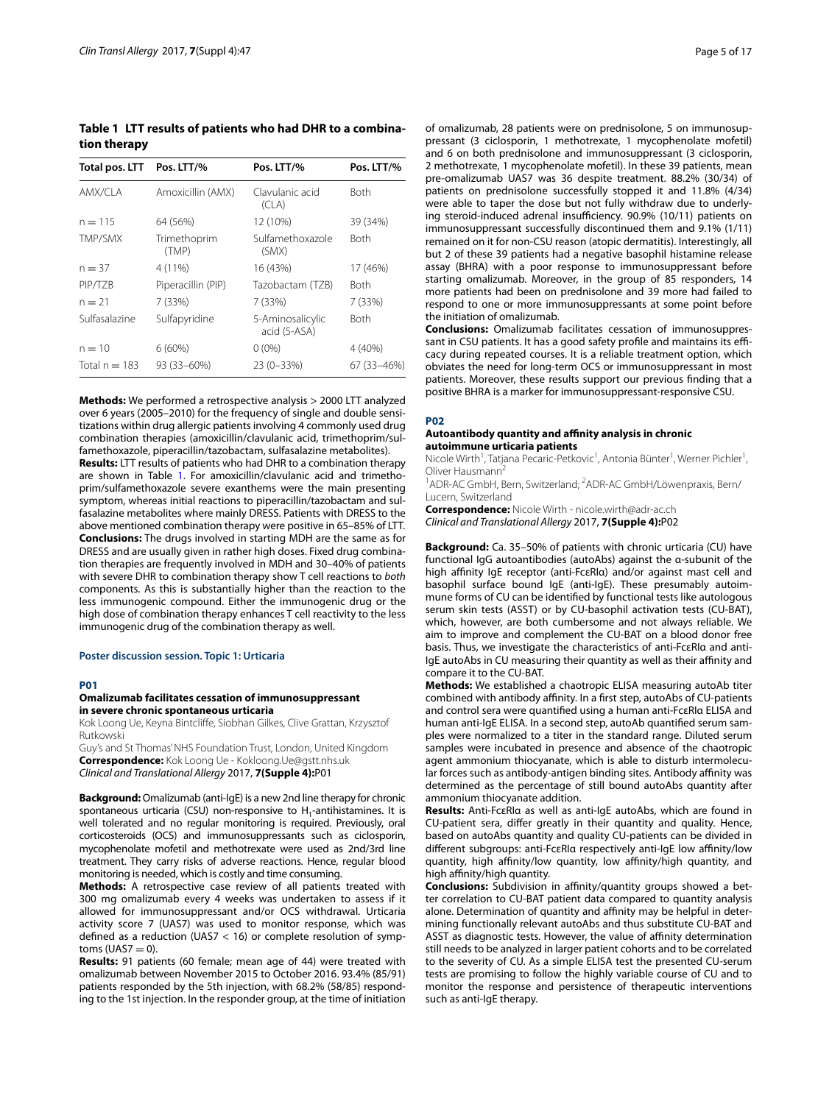<span id="page-4-0"></span>**Table 1 LTT results of patients who had DHR to a combina‑ tion therapy**

| Total pos. LTT Pos. LTT/% |                       | Pos. LTT/%                       | Pos. LTT/%  |
|---------------------------|-----------------------|----------------------------------|-------------|
| AMX/CLA                   | Amoxicillin (AMX)     | Clavulanic acid<br>(CLA)         | <b>Both</b> |
| $n = 115$                 | 64 (56%)              | 12 (10%)                         | 39 (34%)    |
| TMP/SMX                   | Trimethoprim<br>(TMP) | Sulfamethoxazole<br>(SMX)        | <b>Both</b> |
| $n = 37$                  | 4 (11%)               | 16 (43%)                         | 17 (46%)    |
| PIP/T7B                   | Piperacillin (PIP)    | Tazobactam (TZB)                 | Both        |
| $n = 21$                  | 7(33%)                | 7(33%)                           | 7(33%)      |
| Sulfasalazine             | Sulfapyridine         | 5-Aminosalicylic<br>acid (5-ASA) | Both        |
| $n = 10$                  | 6(60%)                | $0(0\%)$                         | 4 (40%)     |
| Total $n = 183$           | 93 (33-60%)           | 23 (0-33%)                       | 67 (33–46%) |

**Methods:** We performed a retrospective analysis > 2000 LTT analyzed over 6 years (2005–2010) for the frequency of single and double sensitizations within drug allergic patients involving 4 commonly used drug combination therapies (amoxicillin/clavulanic acid, trimethoprim/sulfamethoxazole, piperacillin/tazobactam, sulfasalazine metabolites).

**Results:** LTT results of patients who had DHR to a combination therapy are shown in Table [1](#page-4-0). For amoxicillin/clavulanic acid and trimethoprim/sulfamethoxazole severe exanthems were the main presenting symptom, whereas initial reactions to piperacillin/tazobactam and sulfasalazine metabolites where mainly DRESS. Patients with DRESS to the above mentioned combination therapy were positive in 65–85% of LTT. **Conclusions:** The drugs involved in starting MDH are the same as for DRESS and are usually given in rather high doses. Fixed drug combination therapies are frequently involved in MDH and 30–40% of patients with severe DHR to combination therapy show T cell reactions to *both* components. As this is substantially higher than the reaction to the less immunogenic compound. Either the immunogenic drug or the high dose of combination therapy enhances T cell reactivity to the less immunogenic drug of the combination therapy as well.

#### **Poster discussion session. Topic 1: Urticaria**

#### **P01**

#### **Omalizumab facilitates cessation of immunosuppressant in severe chronic spontaneous urticaria**

Kok Loong Ue, Keyna Bintclife, Siobhan Gilkes, Clive Grattan, Krzysztof Rutkowski

Guy's and St Thomas' NHS Foundation Trust, London, United Kingdom **Correspondence:** Kok Loong Ue ‑ Kokloong.Ue@gstt.nhs.uk *Clinical and Translational Allergy* 2017, **7(Supple 4):**P01

**Background:** Omalizumab (anti-IgE) is a new 2nd line therapy for chronic spontaneous urticaria (CSU) non-responsive to  $H_1$ -antihistamines. It is well tolerated and no regular monitoring is required. Previously, oral corticosteroids (OCS) and immunosuppressants such as ciclosporin, mycophenolate mofetil and methotrexate were used as 2nd/3rd line treatment. They carry risks of adverse reactions. Hence, regular blood monitoring is needed, which is costly and time consuming.

**Methods:** A retrospective case review of all patients treated with 300 mg omalizumab every 4 weeks was undertaken to assess if it allowed for immunosuppressant and/or OCS withdrawal. Urticaria activity score 7 (UAS7) was used to monitor response, which was defned as a reduction (UAS7 < 16) or complete resolution of symptoms  $(UAS7 = 0)$ .

**Results:** 91 patients (60 female; mean age of 44) were treated with omalizumab between November 2015 to October 2016. 93.4% (85/91) patients responded by the 5th injection, with 68.2% (58/85) responding to the 1st injection. In the responder group, at the time of initiation of omalizumab, 28 patients were on prednisolone, 5 on immunosuppressant (3 ciclosporin, 1 methotrexate, 1 mycophenolate mofetil) and 6 on both prednisolone and immunosuppressant (3 ciclosporin, 2 methotrexate, 1 mycophenolate mofetil). In these 39 patients, mean pre-omalizumab UAS7 was 36 despite treatment. 88.2% (30/34) of patients on prednisolone successfully stopped it and 11.8% (4/34) were able to taper the dose but not fully withdraw due to underlying steroid-induced adrenal insufficiency. 90.9% (10/11) patients on immunosuppressant successfully discontinued them and 9.1% (1/11) remained on it for non-CSU reason (atopic dermatitis). Interestingly, all but 2 of these 39 patients had a negative basophil histamine release assay (BHRA) with a poor response to immunosuppressant before starting omalizumab. Moreover, in the group of 85 responders, 14 more patients had been on prednisolone and 39 more had failed to respond to one or more immunosuppressants at some point before the initiation of omalizumab.

**Conclusions:** Omalizumab facilitates cessation of immunosuppressant in CSU patients. It has a good safety profile and maintains its efficacy during repeated courses. It is a reliable treatment option, which obviates the need for long-term OCS or immunosuppressant in most patients. Moreover, these results support our previous fnding that a positive BHRA is a marker for immunosuppressant-responsive CSU.

# **P02**

## **Autoantibody quantity and afnity analysis in chronic autoimmune urticaria patients**

Nicole Wirth<sup>1</sup>, Tatjana Pecaric-Petkovic<sup>1</sup>, Antonia Bünter<sup>1</sup>, Werner Pichler<sup>1</sup>, Oliver Hausmann<sup>2</sup>

<sup>1</sup>ADR-AC GmbH, Bern, Switzerland; <sup>2</sup>ADR-AC GmbH/Löwenpraxis, Bern/ Lucern, Switzerland

**Correspondence:** Nicole Wirth ‑ nicole.wirth@adr‑ac.ch *Clinical and Translational Allergy* 2017, **7(Supple 4):**P02

**Background:** Ca. 35–50% of patients with chronic urticaria (CU) have functional IgG autoantibodies (autoAbs) against the α-subunit of the high afnity IgE receptor (anti-FcεRIα) and/or against mast cell and basophil surface bound IgE (anti-IgE). These presumably autoimmune forms of CU can be identifed by functional tests like autologous serum skin tests (ASST) or by CU-basophil activation tests (CU-BAT), which, however, are both cumbersome and not always reliable. We aim to improve and complement the CU-BAT on a blood donor free basis. Thus, we investigate the characteristics of anti-FcεRIα and anti-IgE autoAbs in CU measuring their quantity as well as their affinity and compare it to the CU-BAT.

**Methods:** We established a chaotropic ELISA measuring autoAb titer combined with antibody affinity. In a first step, autoAbs of CU-patients and control sera were quantifed using a human anti-FcεRIα ELISA and human anti-IgE ELISA. In a second step, autoAb quantifed serum samples were normalized to a titer in the standard range. Diluted serum samples were incubated in presence and absence of the chaotropic agent ammonium thiocyanate, which is able to disturb intermolecular forces such as antibody-antigen binding sites. Antibody affinity was determined as the percentage of still bound autoAbs quantity after ammonium thiocyanate addition.

**Results:** Anti-FcεRIα as well as anti-IgE autoAbs, which are found in CU-patient sera, difer greatly in their quantity and quality. Hence, based on autoAbs quantity and quality CU-patients can be divided in diferent subgroups: anti-FcεRIα respectively anti-IgE low afnity/low quantity, high affinity/low quantity, low affinity/high quantity, and high affinity/high quantity.

**Conclusions:** Subdivision in affinity/quantity groups showed a better correlation to CU-BAT patient data compared to quantity analysis alone. Determination of quantity and affinity may be helpful in determining functionally relevant autoAbs and thus substitute CU-BAT and ASST as diagnostic tests. However, the value of affinity determination still needs to be analyzed in larger patient cohorts and to be correlated to the severity of CU. As a simple ELISA test the presented CU-serum tests are promising to follow the highly variable course of CU and to monitor the response and persistence of therapeutic interventions such as anti-IgE therapy.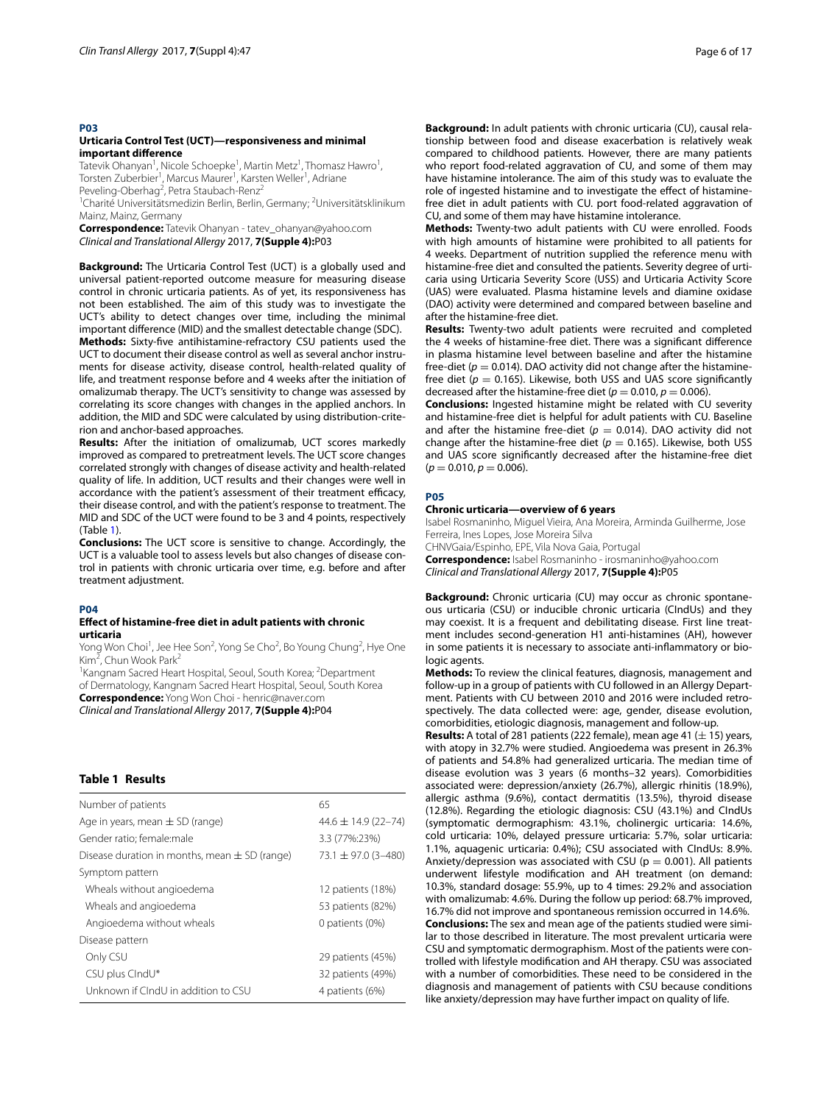# **P03**

#### **Urticaria Control Test (UCT)—responsiveness and minimal important diference**

Tatevik Ohanyan<sup>1</sup>, Nicole Schoepke<sup>1</sup>, Martin Metz<sup>1</sup>, Thomasz Hawro<sup>1</sup>, Torsten Zuberbier<sup>1</sup>, Marcus Maurer<sup>1</sup>, Karsten Weller<sup>1</sup>, Adriane

Peveling-Oberhag<sup>2</sup>, Petra Staubach-Renz<sup>2</sup>

<sup>1</sup>Charité Universitätsmedizin Berlin, Berlin, Germany; <sup>2</sup>Universitätsklinikum Mainz, Mainz, Germany

**Correspondence:** Tatevik Ohanyan ‑ tatev\_ohanyan@yahoo.com *Clinical and Translational Allergy* 2017, **7(Supple 4):**P03

**Background:** The Urticaria Control Test (UCT) is a globally used and universal patient-reported outcome measure for measuring disease control in chronic urticaria patients. As of yet, its responsiveness has not been established. The aim of this study was to investigate the UCT's ability to detect changes over time, including the minimal important diference (MID) and the smallest detectable change (SDC). **Methods:** Sixty-fve antihistamine-refractory CSU patients used the UCT to document their disease control as well as several anchor instruments for disease activity, disease control, health-related quality of life, and treatment response before and 4 weeks after the initiation of omalizumab therapy. The UCT's sensitivity to change was assessed by correlating its score changes with changes in the applied anchors. In addition, the MID and SDC were calculated by using distribution-criterion and anchor-based approaches.

**Results:** After the initiation of omalizumab, UCT scores markedly improved as compared to pretreatment levels. The UCT score changes correlated strongly with changes of disease activity and health-related quality of life. In addition, UCT results and their changes were well in accordance with the patient's assessment of their treatment efficacy, their disease control, and with the patient's response to treatment. The MID and SDC of the UCT were found to be 3 and 4 points, respectively  $(Table 1)$  $(Table 1)$ 

**Conclusions:** The UCT score is sensitive to change. Accordingly, the UCT is a valuable tool to assess levels but also changes of disease control in patients with chronic urticaria over time, e.g. before and after treatment adjustment.

# **P04**

#### **Efect of histamine‑free diet in adult patients with chronic urticaria**

Yong Won Choi<sup>1</sup>, Jee Hee Son<sup>2</sup>, Yong Se Cho<sup>2</sup>, Bo Young Chung<sup>2</sup>, Hye One Kim<sup>2</sup>, Chun Wook Park<sup>2</sup>

<sup>1</sup> Kangnam Sacred Heart Hospital, Seoul, South Korea; <sup>2</sup>Department of Dermatology, Kangnam Sacred Heart Hospital, Seoul, South Korea **Correspondence:** Yong Won Choi ‑ henric@naver.com

*Clinical and Translational Allergy* 2017, **7(Supple 4):**P04

# <span id="page-5-0"></span>**Table 1 Results**

| Number of patients                                | 65                      |  |  |
|---------------------------------------------------|-------------------------|--|--|
| Age in years, mean $\pm$ SD (range)               | $44.6 \pm 14.9$ (22-74) |  |  |
| Gender ratio; female:male                         | 3.3 (77%:23%)           |  |  |
| Disease duration in months, mean $\pm$ SD (range) | 73.1 $\pm$ 97.0 (3-480) |  |  |
| Symptom pattern                                   |                         |  |  |
| Wheals without angioedema                         | 12 patients (18%)       |  |  |
| Wheals and angioedema                             | 53 patients (82%)       |  |  |
| Angioedema without wheals                         | 0 patients (0%)         |  |  |
| Disease pattern                                   |                         |  |  |
| Only CSU                                          | 29 patients (45%)       |  |  |
| CSU plus CIndU*                                   | 32 patients (49%)       |  |  |
| Unknown if CIndU in addition to CSU               | 4 patients (6%)         |  |  |

**Background:** In adult patients with chronic urticaria (CU), causal relationship between food and disease exacerbation is relatively weak compared to childhood patients. However, there are many patients who report food-related aggravation of CU, and some of them may have histamine intolerance. The aim of this study was to evaluate the role of ingested histamine and to investigate the effect of histaminefree diet in adult patients with CU. port food-related aggravation of CU, and some of them may have histamine intolerance.

**Methods:** Twenty-two adult patients with CU were enrolled. Foods with high amounts of histamine were prohibited to all patients for 4 weeks. Department of nutrition supplied the reference menu with histamine-free diet and consulted the patients. Severity degree of urticaria using Urticaria Severity Score (USS) and Urticaria Activity Score (UAS) were evaluated. Plasma histamine levels and diamine oxidase (DAO) activity were determined and compared between baseline and after the histamine-free diet.

**Results:** Twenty-two adult patients were recruited and completed the 4 weeks of histamine-free diet. There was a signifcant diference in plasma histamine level between baseline and after the histamine free-diet ( $p = 0.014$ ). DAO activity did not change after the histaminefree diet ( $p = 0.165$ ). Likewise, both USS and UAS score significantly decreased after the histamine-free diet ( $p = 0.010$ ,  $p = 0.006$ ).

**Conclusions:** Ingested histamine might be related with CU severity and histamine-free diet is helpful for adult patients with CU. Baseline and after the histamine free-diet ( $p = 0.014$ ). DAO activity did not change after the histamine-free diet ( $p = 0.165$ ). Likewise, both USS and UAS score signifcantly decreased after the histamine-free diet  $(p = 0.010, p = 0.006)$ .

#### **P05**

# **Chronic urticaria—overview of 6 years**

Isabel Rosmaninho, Miguel Vieira, Ana Moreira, Arminda Guilherme, Jose Ferreira, Ines Lopes, Jose Moreira Silva CHNVGaia/Espinho, EPE, Vila Nova Gaia, Portugal **Correspondence:** Isabel Rosmaninho ‑ irosmaninho@yahoo.com *Clinical and Translational Allergy* 2017, **7(Supple 4):**P05

**Background:** Chronic urticaria (CU) may occur as chronic spontaneous urticaria (CSU) or inducible chronic urticaria (CIndUs) and they may coexist. It is a frequent and debilitating disease. First line treatment includes second-generation H1 anti-histamines (AH), however in some patients it is necessary to associate anti-infammatory or biologic agents.

**Methods:** To review the clinical features, diagnosis, management and follow-up in a group of patients with CU followed in an Allergy Department. Patients with CU between 2010 and 2016 were included retrospectively. The data collected were: age, gender, disease evolution, comorbidities, etiologic diagnosis, management and follow-up.

**Results:** A total of 281 patients (222 female), mean age 41  $(\pm 15)$  years, with atopy in 32.7% were studied. Angioedema was present in 26.3% of patients and 54.8% had generalized urticaria. The median time of disease evolution was 3 years (6 months–32 years). Comorbidities associated were: depression/anxiety (26.7%), allergic rhinitis (18.9%), allergic asthma (9.6%), contact dermatitis (13.5%), thyroid disease (12.8%). Regarding the etiologic diagnosis: CSU (43.1%) and CIndUs (symptomatic dermographism: 43.1%, cholinergic urticaria: 14.6%, cold urticaria: 10%, delayed pressure urticaria: 5.7%, solar urticaria: 1.1%, aquagenic urticaria: 0.4%); CSU associated with CIndUs: 8.9%. Anxiety/depression was associated with CSU ( $p = 0.001$ ). All patients underwent lifestyle modifcation and AH treatment (on demand: 10.3%, standard dosage: 55.9%, up to 4 times: 29.2% and association with omalizumab: 4.6%. During the follow up period: 68.7% improved, 16.7% did not improve and spontaneous remission occurred in 14.6%. **Conclusions:** The sex and mean age of the patients studied were similar to those described in literature. The most prevalent urticaria were CSU and symptomatic dermographism. Most of the patients were controlled with lifestyle modifcation and AH therapy. CSU was associated with a number of comorbidities. These need to be considered in the diagnosis and management of patients with CSU because conditions like anxiety/depression may have further impact on quality of life.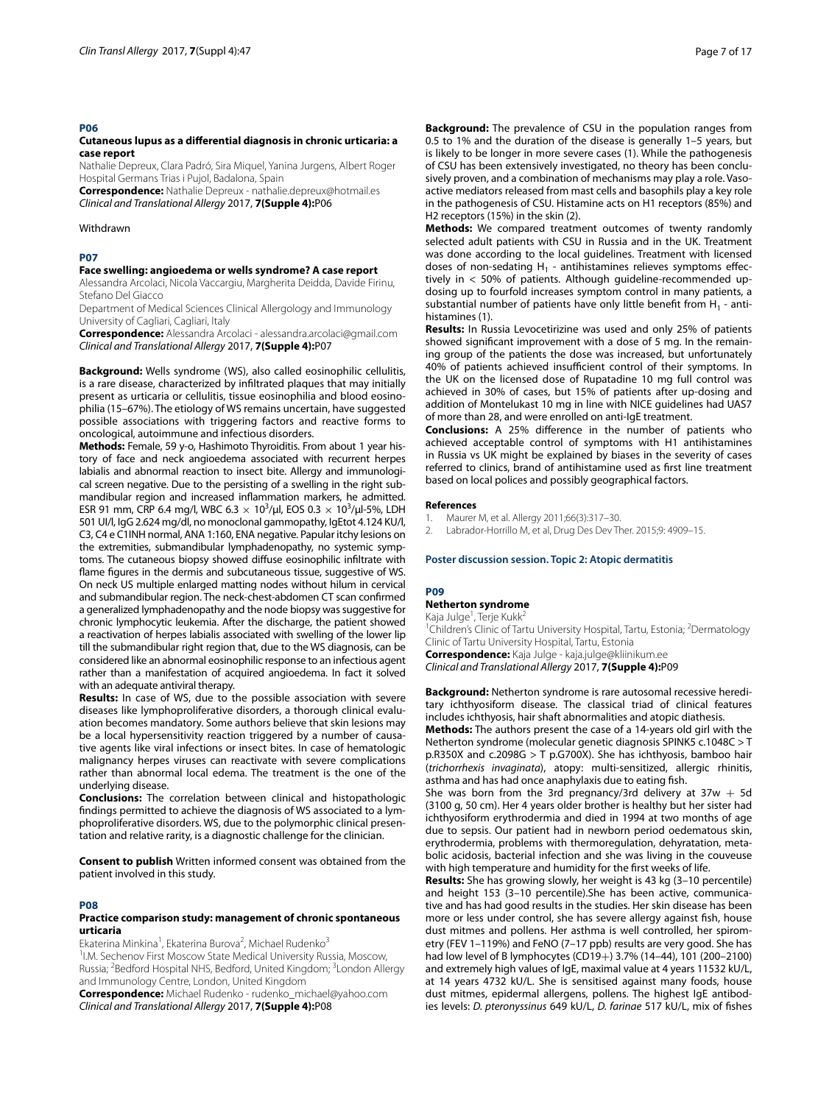## **P06**

#### **Cutaneous lupus as a diferential diagnosis in chronic urticaria: a case report**

Nathalie Depreux, Clara Padró, Sira Miquel, Yanina Jurgens, Albert Roger Hospital Germans Trias i Pujol, Badalona, Spain

**Correspondence:** Nathalie Depreux ‑ nathalie.depreux@hotmail.es *Clinical and Translational Allergy* 2017, **7(Supple 4):**P06

## Withdrawn

# **P07**

#### **Face swelling: angioedema or wells syndrome? A case report**

Alessandra Arcolaci, Nicola Vaccargiu, Margherita Deidda, Davide Firinu, Stefano Del Giacco

Department of Medical Sciences Clinical Allergology and Immunology University of Cagliari, Cagliari, Italy

**Correspondence:** Alessandra Arcolaci ‑ alessandra.arcolaci@gmail.com *Clinical and Translational Allergy* 2017, **7(Supple 4):**P07

**Background:** Wells syndrome (WS), also called eosinophilic cellulitis, is a rare disease, characterized by infltrated plaques that may initially present as urticaria or cellulitis, tissue eosinophilia and blood eosinophilia (15–67%). The etiology of WS remains uncertain, have suggested possible associations with triggering factors and reactive forms to oncological, autoimmune and infectious disorders.

**Methods:** Female, 59 y-o, Hashimoto Thyroiditis. From about 1 year history of face and neck angioedema associated with recurrent herpes labialis and abnormal reaction to insect bite. Allergy and immunological screen negative. Due to the persisting of a swelling in the right submandibular region and increased infammation markers, he admitted. ESR 91 mm, CRP 6.4 mg/l, WBC 6.3  $\times$  10<sup>3</sup>/μl, EOS 0.3  $\times$  10<sup>3</sup>/μl-5%, LDH 501 UI/l, IgG 2.624 mg/dl, no monoclonal gammopathy, IgEtot 4.124 KU/l, C3, C4 e C1INH normal, ANA 1:160, ENA negative. Papular itchy lesions on the extremities, submandibular lymphadenopathy, no systemic symptoms. The cutaneous biopsy showed difuse eosinophilic infltrate with fame fgures in the dermis and subcutaneous tissue, suggestive of WS. On neck US multiple enlarged matting nodes without hilum in cervical and submandibular region. The neck-chest-abdomen CT scan confrmed a generalized lymphadenopathy and the node biopsy was suggestive for chronic lymphocytic leukemia. After the discharge, the patient showed a reactivation of herpes labialis associated with swelling of the lower lip till the submandibular right region that, due to the WS diagnosis, can be considered like an abnormal eosinophilic response to an infectious agent rather than a manifestation of acquired angioedema. In fact it solved with an adequate antiviral therapy.

**Results:** In case of WS, due to the possible association with severe diseases like lymphoproliferative disorders, a thorough clinical evaluation becomes mandatory. Some authors believe that skin lesions may be a local hypersensitivity reaction triggered by a number of causative agents like viral infections or insect bites. In case of hematologic malignancy herpes viruses can reactivate with severe complications rather than abnormal local edema. The treatment is the one of the underlying disease.

**Conclusions:** The correlation between clinical and histopathologic fndings permitted to achieve the diagnosis of WS associated to a lymphoproliferative disorders. WS, due to the polymorphic clinical presentation and relative rarity, is a diagnostic challenge for the clinician.

**Consent to publish** Written informed consent was obtained from the patient involved in this study.

# **P08**

#### **Practice comparison study: management of chronic spontaneous urticaria**

Ekaterina Minkina<sup>1</sup>, Ekaterina Burova<sup>2</sup>, Michael Rudenko<sup>3</sup> <sup>1</sup>I.M. Sechenov First Moscow State Medical University Russia, Moscow, Russia; <sup>2</sup>Bedford Hospital NHS, Bedford, United Kingdom; <sup>3</sup>London Allergy and Immunology Centre, London, United Kingdom

**Correspondence:** Michael Rudenko ‑ rudenko\_michael@yahoo.com *Clinical and Translational Allergy* 2017, **7(Supple 4):**P08

**Background:** The prevalence of CSU in the population ranges from 0.5 to 1% and the duration of the disease is generally 1–5 years, but is likely to be longer in more severe cases (1). While the pathogenesis of CSU has been extensively investigated, no theory has been conclusively proven, and a combination of mechanisms may play a role. Vasoactive mediators released from mast cells and basophils play a key role in the pathogenesis of CSU. Histamine acts on H1 receptors (85%) and H2 receptors (15%) in the skin (2).

**Methods:** We compared treatment outcomes of twenty randomly selected adult patients with СSU in Russia and in the UK. Treatment was done according to the local guidelines. Treatment with licensed doses of non-sedating  $H_1$  - antihistamines relieves symptoms effectively in < 50% of patients. Although guideline-recommended updosing up to fourfold increases symptom control in many patients, a substantial number of patients have only little benefit from  $H_1$  - antihistamines (1).

**Results:** In Russia Levocetirizine was used and only 25% of patients showed signifcant improvement with a dose of 5 mg. In the remaining group of the patients the dose was increased, but unfortunately 40% of patients achieved insufficient control of their symptoms. In the UK on the licensed dose of Rupatadine 10 mg full control was achieved in 30% of cases, but 15% of patients after up-dosing and addition of Montelukast 10 mg in line with NICE guidelines had UAS7 of more than 28, and were enrolled on anti-IgE treatment.

**Conclusions:** A 25% diference in the number of patients who achieved acceptable control of symptoms with H1 antihistamines in Russia vs UK might be explained by biases in the severity of cases referred to clinics, brand of antihistamine used as frst line treatment based on local polices and possibly geographical factors.

#### **References**

1. Maurer M, et al. Allergy 2011;66(3):317–30.

2. Labrador-Horrillo M, et al, Drug Des Dev Ther. 2015;9: 4909–15.

#### **Poster discussion session. Topic 2: Atopic dermatitis**

# **P09**

**Netherton syndrome**

Kaja Julge<sup>1</sup>, Terje Kukk<sup>2</sup> <sup>1</sup>Children's Clinic of Tartu University Hospital, Tartu, Estonia; <sup>2</sup>Dermatology Clinic of Tartu University Hospital, Tartu, Estonia **Correspondence:** Kaja Julge ‑ kaja.julge@kliinikum.ee

*Clinical and Translational Allergy* 2017, **7(Supple 4):**P09

**Background:** Netherton syndrome is rare autosomal recessive hereditary ichthyosiform disease. The classical triad of clinical features includes ichthyosis, hair shaft abnormalities and atopic diathesis.

**Methods:** The authors present the case of a 14-years old girl with the Netherton syndrome (molecular genetic diagnosis SPINK5 c.1048C > T p.R350X and c.2098G > T p.G700X). She has ichthyosis, bamboo hair (*trichorrhexis invaginata*), atopy: multi-sensitized, allergic rhinitis, asthma and has had once anaphylaxis due to eating fsh.

She was born from the 3rd pregnancy/3rd delivery at  $37w + 5d$ (3100 g, 50 cm). Her 4 years older brother is healthy but her sister had ichthyosiform erythrodermia and died in 1994 at two months of age due to sepsis. Our patient had in newborn period oedematous skin, erythrodermia, problems with thermoregulation, dehyratation, metabolic acidosis, bacterial infection and she was living in the couveuse with high temperature and humidity for the frst weeks of life.

**Results:** She has growing slowly, her weight is 43 kg (3–10 percentile) and height 153 (3–10 percentile).She has been active, communicative and has had good results in the studies. Her skin disease has been more or less under control, she has severe allergy against fsh, house dust mitmes and pollens. Her asthma is well controlled, her spirometry (FEV 1–119%) and FeNO (7–17 ppb) results are very good. She has had low level of B lymphocytes (CD19+) 3.7% (14–44), 101 (200–2100) and extremely high values of IgE, maximal value at 4 years 11532 kU/L, at 14 years 4732 kU/L. She is sensitised against many foods, house dust mitmes, epidermal allergens, pollens. The highest IgE antibodies levels: *D. pteronyssinus* 649 kU/L, *D. farinae* 517 kU/L, mix of fshes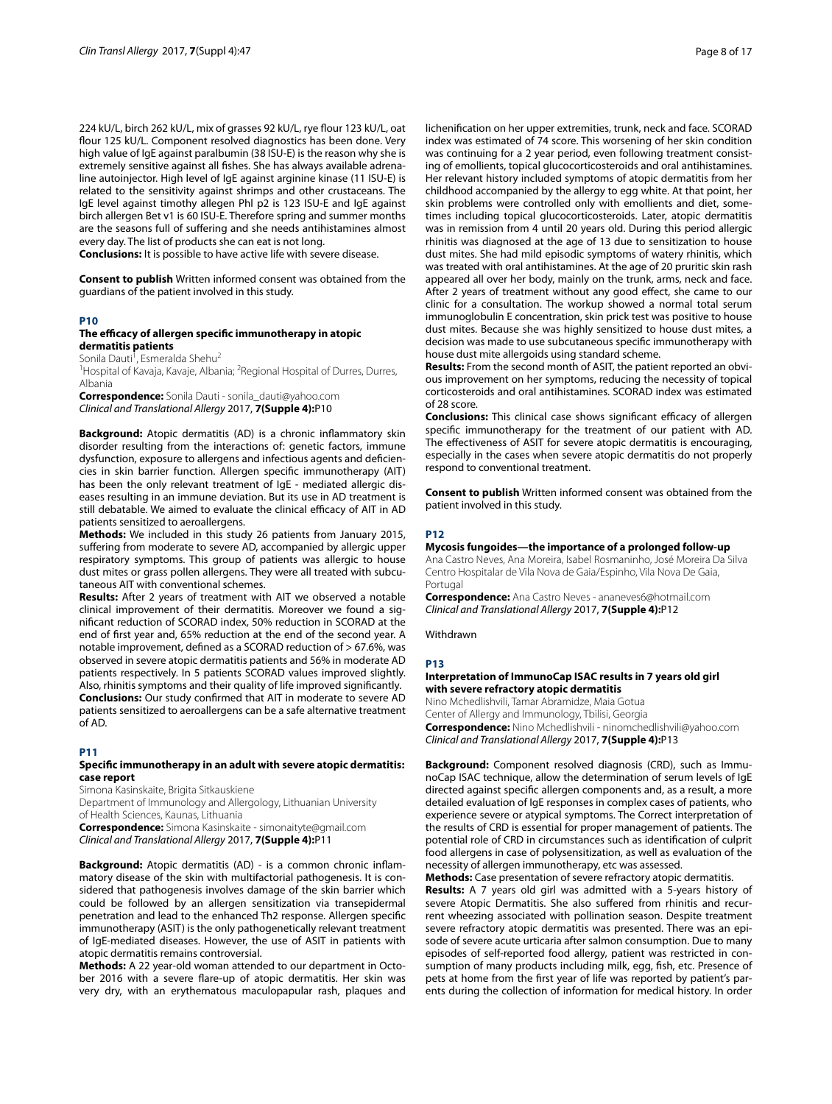224 kU/L, birch 262 kU/L, mix of grasses 92 kU/L, rye flour 123 kU/L, oat four 125 kU/L. Component resolved diagnostics has been done. Very high value of IgE against paralbumin (38 ISU-E) is the reason why she is extremely sensitive against all fshes. She has always available adrenaline autoinjector. High level of IgE against arginine kinase (11 ISU-E) is related to the sensitivity against shrimps and other crustaceans. The IgE level against timothy allegen Phl p2 is 123 ISU-E and IgE against birch allergen Bet v1 is 60 ISU-E. Therefore spring and summer months are the seasons full of sufering and she needs antihistamines almost every day. The list of products she can eat is not long.

**Conclusions:** It is possible to have active life with severe disease.

**Consent to publish** Written informed consent was obtained from the guardians of the patient involved in this study.

# **P10**

#### **The efficacy of allergen specific immunotherapy in atopic dermatitis patients**

Sonila Dauti<sup>1</sup>, Esmeralda Shehu<sup>2</sup>

<sup>1</sup> Hospital of Kavaja, Kavaje, Albania; <sup>2</sup> Regional Hospital of Durres, Durres, Albania

**Correspondence:** Sonila Dauti ‑ sonila\_dauti@yahoo.com *Clinical and Translational Allergy* 2017, **7(Supple 4):**P10

**Background:** Atopic dermatitis (AD) is a chronic infammatory skin disorder resulting from the interactions of: genetic factors, immune dysfunction, exposure to allergens and infectious agents and defciencies in skin barrier function. Allergen specifc immunotherapy (AIT) has been the only relevant treatment of IgE - mediated allergic diseases resulting in an immune deviation. But its use in AD treatment is still debatable. We aimed to evaluate the clinical efficacy of AIT in AD patients sensitized to aeroallergens.

**Methods:** We included in this study 26 patients from January 2015, suffering from moderate to severe AD, accompanied by allergic upper respiratory symptoms. This group of patients was allergic to house dust mites or grass pollen allergens. They were all treated with subcutaneous AIT with conventional schemes.

**Results:** After 2 years of treatment with AIT we observed a notable clinical improvement of their dermatitis. Moreover we found a signifcant reduction of SCORAD index, 50% reduction in SCORAD at the end of frst year and, 65% reduction at the end of the second year. A notable improvement, defned as a SCORAD reduction of > 67.6%, was observed in severe atopic dermatitis patients and 56% in moderate AD patients respectively. In 5 patients SCORAD values improved slightly. Also, rhinitis symptoms and their quality of life improved signifcantly. **Conclusions:** Our study confrmed that AIT in moderate to severe AD patients sensitized to aeroallergens can be a safe alternative treatment of AD.

# **P11**

#### **Specifc immunotherapy in an adult with severe atopic dermatitis: case report**

Simona Kasinskaite, Brigita Sitkauskiene Department of Immunology and Allergology, Lithuanian University of Health Sciences, Kaunas, Lithuania

**Correspondence:** Simona Kasinskaite ‑ simonaityte@gmail.com *Clinical and Translational Allergy* 2017, **7(Supple 4):**P11

**Background:** Atopic dermatitis (AD) - is a common chronic infammatory disease of the skin with multifactorial pathogenesis. It is considered that pathogenesis involves damage of the skin barrier which could be followed by an allergen sensitization via transepidermal penetration and lead to the enhanced Th2 response. Allergen specifc immunotherapy (ASIT) is the only pathogenetically relevant treatment of IgE-mediated diseases. However, the use of ASIT in patients with atopic dermatitis remains controversial.

**Methods:** A 22 year-old woman attended to our department in October 2016 with a severe fare-up of atopic dermatitis. Her skin was very dry, with an erythematous maculopapular rash, plaques and lichenifcation on her upper extremities, trunk, neck and face. SCORAD index was estimated of 74 score. This worsening of her skin condition was continuing for a 2 year period, even following treatment consisting of emollients, topical glucocorticosteroids and oral antihistamines. Her relevant history included symptoms of atopic dermatitis from her childhood accompanied by the allergy to egg white. At that point, her skin problems were controlled only with emollients and diet, sometimes including topical glucocorticosteroids. Later, atopic dermatitis was in remission from 4 until 20 years old. During this period allergic rhinitis was diagnosed at the age of 13 due to sensitization to house dust mites. She had mild episodic symptoms of watery rhinitis, which was treated with oral antihistamines. At the age of 20 pruritic skin rash appeared all over her body, mainly on the trunk, arms, neck and face. After 2 years of treatment without any good efect, she came to our clinic for a consultation. The workup showed a normal total serum immunoglobulin E concentration, skin prick test was positive to house dust mites. Because she was highly sensitized to house dust mites, a decision was made to use subcutaneous specifc immunotherapy with house dust mite allergoids using standard scheme.

**Results:** From the second month of ASIT, the patient reported an obvious improvement on her symptoms, reducing the necessity of topical corticosteroids and oral antihistamines. SCORAD index was estimated of 28 score.

**Conclusions:** This clinical case shows significant efficacy of allergen specifc immunotherapy for the treatment of our patient with AD. The effectiveness of ASIT for severe atopic dermatitis is encouraging, especially in the cases when severe atopic dermatitis do not properly respond to conventional treatment.

**Consent to publish** Written informed consent was obtained from the patient involved in this study.

# **P12**

#### **Mycosis fungoides—the importance of a prolonged follow‑up**

Ana Castro Neves, Ana Moreira, Isabel Rosmaninho, José Moreira Da Silva Centro Hospitalar de Vila Nova de Gaia/Espinho, Vila Nova De Gaia, Portugal

**Correspondence:** Ana Castro Neves ‑ ananeves6@hotmail.com *Clinical and Translational Allergy* 2017, **7(Supple 4):**P12

Withdrawn

#### **P13**

# **Interpretation of ImmunoCap ISAC results in 7 years old girl with severe refractory atopic dermatitis**

Nino Mchedlishvili, Tamar Abramidze, Maia Gotua Center of Allergy and Immunology, Tbilisi, Georgia **Correspondence:** Nino Mchedlishvili ‑ ninomchedlishvili@yahoo.com *Clinical and Translational Allergy* 2017, **7(Supple 4):**P13

**Background:** Component resolved diagnosis (CRD), such as ImmunoCap ISAC technique, allow the determination of serum levels of IgE directed against specifc allergen components and, as a result, a more detailed evaluation of IgE responses in complex cases of patients, who experience severe or atypical symptoms. The Correct interpretation of the results of CRD is essential for proper management of patients. The potential role of CRD in circumstances such as identifcation of culprit food allergens in case of polysensitization, as well as evaluation of the necessity of allergen immunotherapy, etc was assessed.

**Methods:** Case presentation of severe refractory atopic dermatitis.

**Results:** A 7 years old girl was admitted with a 5-years history of severe Atopic Dermatitis. She also sufered from rhinitis and recurrent wheezing associated with pollination season. Despite treatment severe refractory atopic dermatitis was presented. There was an episode of severe acute urticaria after salmon consumption. Due to many episodes of self-reported food allergy, patient was restricted in consumption of many products including milk, egg, fsh, etc. Presence of pets at home from the frst year of life was reported by patient's parents during the collection of information for medical history. In order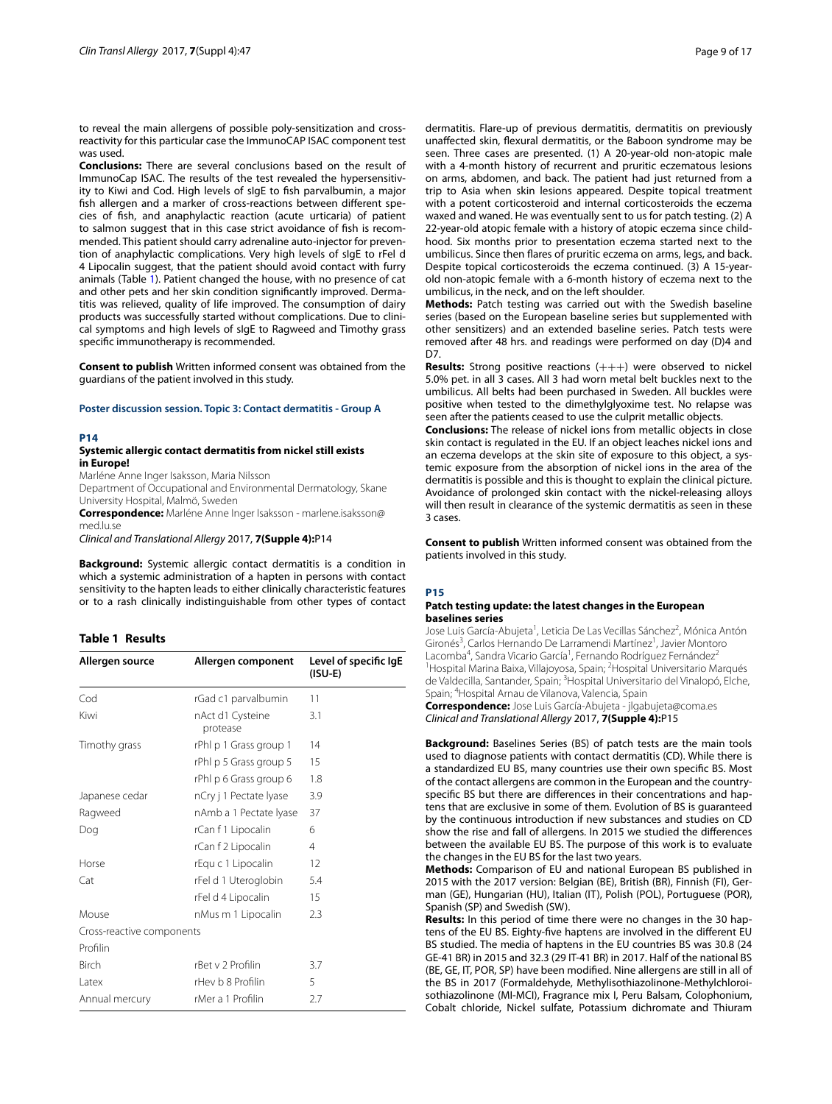to reveal the main allergens of possible poly-sensitization and crossreactivity for this particular case the ImmunoCAP ISAC component test was used.

**Conclusions:** There are several conclusions based on the result of ImmunoCap ISAC. The results of the test revealed the hypersensitivity to Kiwi and Cod. High levels of sIgE to fsh parvalbumin, a major fish allergen and a marker of cross-reactions between different species of fsh, and anaphylactic reaction (acute urticaria) of patient to salmon suggest that in this case strict avoidance of fsh is recommended. This patient should carry adrenaline auto-injector for prevention of anaphylactic complications. Very high levels of sIgE to rFel d 4 Lipocalin suggest, that the patient should avoid contact with furry animals (Table [1](#page-8-0)). Patient changed the house, with no presence of cat and other pets and her skin condition signifcantly improved. Dermatitis was relieved, quality of life improved. The consumption of dairy products was successfully started without complications. Due to clinical symptoms and high levels of sIgE to Ragweed and Timothy grass specifc immunotherapy is recommended.

**Consent to publish** Written informed consent was obtained from the guardians of the patient involved in this study.

**Poster discussion session. Topic 3: Contact dermatitis ‑ Group A**

#### **P14**

#### **Systemic allergic contact dermatitis from nickel still exists in Europe!**

Marléne Anne Inger Isaksson, Maria Nilsson

Department of Occupational and Environmental Dermatology, Skane University Hospital, Malmö, Sweden

**Correspondence:** Marléne Anne Inger Isaksson ‑ marlene.isaksson@ med.lu.se

*Clinical and Translational Allergy* 2017, **7(Supple 4):**P14

**Background:** Systemic allergic contact dermatitis is a condition in which a systemic administration of a hapten in persons with contact sensitivity to the hapten leads to either clinically characteristic features or to a rash clinically indistinguishable from other types of contact

# <span id="page-8-0"></span>**Table 1 Results**

| Allergen source           | Allergen component           | Level of specific IgE<br>$(ISU-E)$ |  |
|---------------------------|------------------------------|------------------------------------|--|
| Cod                       | rGad c1 parvalbumin          | 11                                 |  |
| Kiwi                      | nAct d1 Cysteine<br>protease | 3.1                                |  |
| Timothy grass             | rPhI p 1 Grass group 1       | 14                                 |  |
|                           | rPhl p 5 Grass group 5       | 15                                 |  |
|                           | rPhI p 6 Grass group 6       | 1.8                                |  |
| Japanese cedar            | nCry j 1 Pectate lyase       | 3.9                                |  |
| Ragweed                   | nAmb a 1 Pectate lyase       | 37                                 |  |
| Dog                       | rCan f 1 Lipocalin           | 6                                  |  |
|                           | rCan f 2 Lipocalin           | $\overline{4}$                     |  |
| Horse                     | rEqu c 1 Lipocalin           | 12                                 |  |
| Cat                       | rFel d 1 Uteroglobin         | 5.4                                |  |
|                           | rFel d 4 Lipocalin           | 15                                 |  |
| Mouse                     | nMus m 1 Lipocalin           | 2.3                                |  |
| Cross-reactive components |                              |                                    |  |
| Profilin                  |                              |                                    |  |
| <b>Birch</b>              | rBet v 2 Profilin            | 3.7                                |  |
| l atex                    | rHey b 8 Profilin            | 5                                  |  |
| Annual mercury            | rMer a 1 Profilin            | 2.7                                |  |

dermatitis. Flare-up of previous dermatitis, dermatitis on previously unafected skin, fexural dermatitis, or the Baboon syndrome may be seen. Three cases are presented. (1) A 20-year-old non-atopic male with a 4-month history of recurrent and pruritic eczematous lesions on arms, abdomen, and back. The patient had just returned from a trip to Asia when skin lesions appeared. Despite topical treatment with a potent corticosteroid and internal corticosteroids the eczema waxed and waned. He was eventually sent to us for patch testing. (2) A 22-year-old atopic female with a history of atopic eczema since childhood. Six months prior to presentation eczema started next to the umbilicus. Since then fares of pruritic eczema on arms, legs, and back. Despite topical corticosteroids the eczema continued. (3) A 15-yearold non-atopic female with a 6-month history of eczema next to the umbilicus, in the neck, and on the left shoulder.

**Methods:** Patch testing was carried out with the Swedish baseline series (based on the European baseline series but supplemented with other sensitizers) and an extended baseline series. Patch tests were removed after 48 hrs. and readings were performed on day (D)4 and D7.

**Results:** Strong positive reactions (+++) were observed to nickel 5.0% pet. in all 3 cases. All 3 had worn metal belt buckles next to the umbilicus. All belts had been purchased in Sweden. All buckles were positive when tested to the dimethylglyoxime test. No relapse was seen after the patients ceased to use the culprit metallic objects.

**Conclusions:** The release of nickel ions from metallic objects in close skin contact is regulated in the EU. If an object leaches nickel ions and an eczema develops at the skin site of exposure to this object, a systemic exposure from the absorption of nickel ions in the area of the dermatitis is possible and this is thought to explain the clinical picture. Avoidance of prolonged skin contact with the nickel-releasing alloys will then result in clearance of the systemic dermatitis as seen in these 3 cases.

**Consent to publish** Written informed consent was obtained from the patients involved in this study.

# **P15**

#### **Patch testing update: the latest changes in the European baselines series**

Jose Luis García-Abujeta<sup>1</sup>, Leticia De Las Vecillas Sánchez<sup>2</sup>, Mónica Antón Gironés<sup>3</sup>, Carlos Hernando De Larramendi Martínez<sup>1</sup>, Javier Montoro Lacomba<sup>4</sup>, Sandra Vicario García<sup>1</sup>, Fernando Rodríguez Fernández<sup>2</sup> <sup>1</sup> Hospital Marina Baixa, Villajoyosa, Spain; <sup>2</sup> Hospital Universitario Marqués de Valdecilla, Santander, Spain; <sup>3</sup>Hospital Universitario del Vinalopó, Elche, Spain; 4 Hospital Arnau de Vilanova, Valencia, Spain

**Correspondence:** Jose Luis García‑Abujeta ‑ jlgabujeta@coma.es *Clinical and Translational Allergy* 2017, **7(Supple 4):**P15

**Background:** Baselines Series (BS) of patch tests are the main tools used to diagnose patients with contact dermatitis (CD). While there is a standardized EU BS, many countries use their own specifc BS. Most of the contact allergens are common in the European and the countryspecifc BS but there are diferences in their concentrations and haptens that are exclusive in some of them. Evolution of BS is guaranteed by the continuous introduction if new substances and studies on CD show the rise and fall of allergens. In 2015 we studied the diferences between the available EU BS. The purpose of this work is to evaluate the changes in the EU BS for the last two years.

**Methods:** Comparison of EU and national European BS published in 2015 with the 2017 version: Belgian (BE), British (BR), Finnish (FI), German (GE), Hungarian (HU), Italian (IT), Polish (POL), Portuguese (POR), Spanish (SP) and Swedish (SW).

**Results:** In this period of time there were no changes in the 30 haptens of the EU BS. Eighty-fve haptens are involved in the diferent EU BS studied. The media of haptens in the EU countries BS was 30.8 (24 GE-41 BR) in 2015 and 32.3 (29 IT-41 BR) in 2017. Half of the national BS (BE, GE, IT, POR, SP) have been modifed. Nine allergens are still in all of the BS in 2017 (Formaldehyde, Methylisothiazolinone-Methylchloroisothiazolinone (MI-MCI), Fragrance mix I, Peru Balsam, Colophonium, Cobalt chloride, Nickel sulfate, Potassium dichromate and Thiuram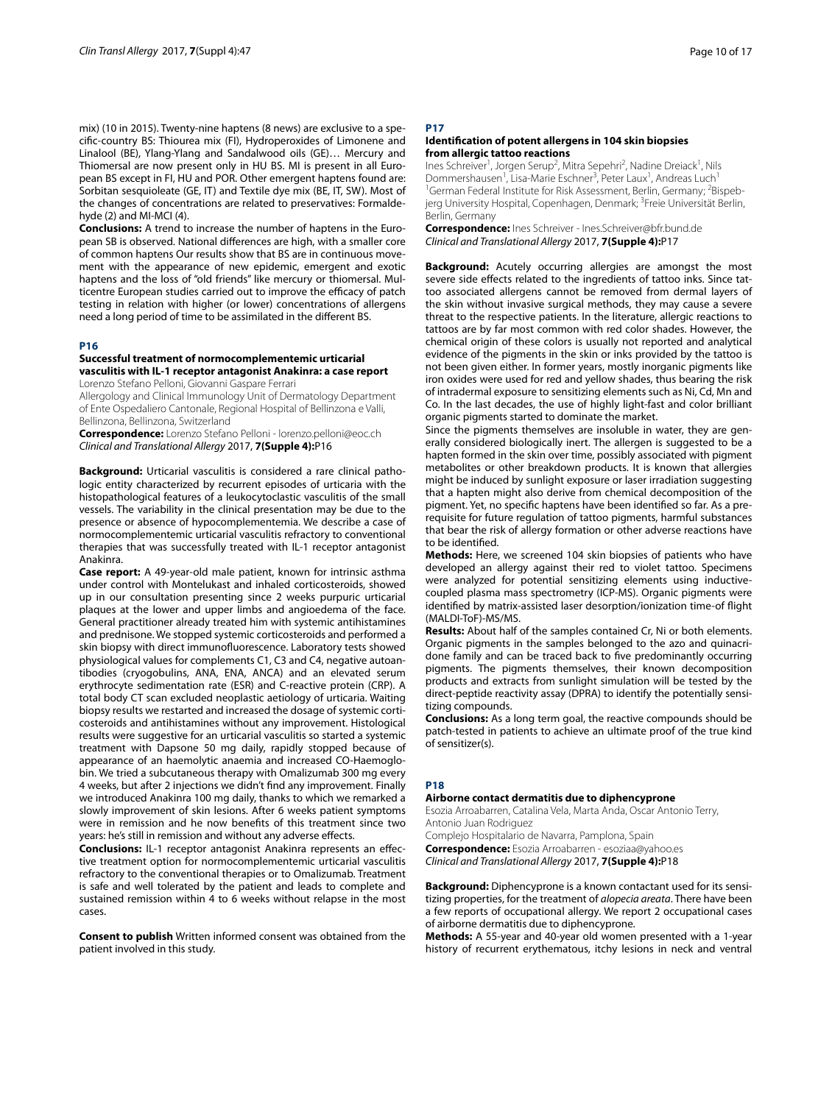mix) (10 in 2015). Twenty-nine haptens (8 news) are exclusive to a specifc-country BS: Thiourea mix (FI), Hydroperoxides of Limonene and Linalool (BE), Ylang-Ylang and Sandalwood oils (GE)… Mercury and Thiomersal are now present only in HU BS. MI is present in all European BS except in FI, HU and POR. Other emergent haptens found are: Sorbitan sesquioleate (GE, IT) and Textile dye mix (BE, IT, SW). Most of the changes of concentrations are related to preservatives: Formaldehyde (2) and MI-MCI (4).

**Conclusions:** A trend to increase the number of haptens in the European SB is observed. National diferences are high, with a smaller core of common haptens Our results show that BS are in continuous movement with the appearance of new epidemic, emergent and exotic haptens and the loss of "old friends" like mercury or thiomersal. Multicentre European studies carried out to improve the efficacy of patch testing in relation with higher (or lower) concentrations of allergens need a long period of time to be assimilated in the diferent BS.

#### **P16**

#### **Successful treatment of normocomplementemic urticarial vasculitis with IL‑1 receptor antagonist Anakinra: a case report**

Lorenzo Stefano Pelloni, Giovanni Gaspare Ferrari

Allergology and Clinical Immunology Unit of Dermatology Department of Ente Ospedaliero Cantonale, Regional Hospital of Bellinzona e Valli, Bellinzona, Bellinzona, Switzerland

**Correspondence:** Lorenzo Stefano Pelloni ‑ lorenzo.pelloni@eoc.ch *Clinical and Translational Allergy* 2017, **7(Supple 4):**P16

**Background:** Urticarial vasculitis is considered a rare clinical pathologic entity characterized by recurrent episodes of urticaria with the histopathological features of a leukocytoclastic vasculitis of the small vessels. The variability in the clinical presentation may be due to the presence or absence of hypocomplementemia. We describe a case of normocomplementemic urticarial vasculitis refractory to conventional therapies that was successfully treated with IL-1 receptor antagonist Anakinra.

**Case report:** A 49-year-old male patient, known for intrinsic asthma under control with Montelukast and inhaled corticosteroids, showed up in our consultation presenting since 2 weeks purpuric urticarial plaques at the lower and upper limbs and angioedema of the face. General practitioner already treated him with systemic antihistamines and prednisone. We stopped systemic corticosteroids and performed a skin biopsy with direct immunofuorescence. Laboratory tests showed physiological values for complements C1, C3 and C4, negative autoantibodies (cryogobulins, ANA, ENA, ANCA) and an elevated serum erythrocyte sedimentation rate (ESR) and C-reactive protein (CRP). A total body CT scan excluded neoplastic aetiology of urticaria. Waiting biopsy results we restarted and increased the dosage of systemic corticosteroids and antihistamines without any improvement. Histological results were suggestive for an urticarial vasculitis so started a systemic treatment with Dapsone 50 mg daily, rapidly stopped because of appearance of an haemolytic anaemia and increased CO-Haemoglobin. We tried a subcutaneous therapy with Omalizumab 300 mg every 4 weeks, but after 2 injections we didn't fnd any improvement. Finally we introduced Anakinra 100 mg daily, thanks to which we remarked a slowly improvement of skin lesions. After 6 weeks patient symptoms were in remission and he now benefts of this treatment since two years: he's still in remission and without any adverse efects.

**Conclusions:** IL-1 receptor antagonist Anakinra represents an efective treatment option for normocomplementemic urticarial vasculitis refractory to the conventional therapies or to Omalizumab. Treatment is safe and well tolerated by the patient and leads to complete and sustained remission within 4 to 6 weeks without relapse in the most cases

**Consent to publish** Written informed consent was obtained from the patient involved in this study.

# **P17**

# **Identifcation of potent allergens in 104 skin biopsies from allergic tattoo reactions**

Ines Schreiver<sup>1</sup>, Jorgen Serup<sup>2</sup>, Mitra Sepehri<sup>2</sup>, Nadine Dreiack<sup>1</sup>, Nils Dommershausen<sup>1</sup>, Lisa-Marie Eschner<sup>3</sup>, Peter Laux<sup>1</sup>, Andreas Luch<sup>1</sup> <sup>1</sup>German Federal Institute for Risk Assessment, Berlin, Germany; <sup>2</sup>Bispebjerg University Hospital, Copenhagen, Denmark; <sup>3</sup>Freie Universität Berlin, Berlin, Germany

**Correspondence:** Ines Schreiver ‑ Ines.Schreiver@bfr.bund.de *Clinical and Translational Allergy* 2017, **7(Supple 4):**P17

**Background:** Acutely occurring allergies are amongst the most severe side efects related to the ingredients of tattoo inks. Since tattoo associated allergens cannot be removed from dermal layers of the skin without invasive surgical methods, they may cause a severe threat to the respective patients. In the literature, allergic reactions to tattoos are by far most common with red color shades. However, the chemical origin of these colors is usually not reported and analytical evidence of the pigments in the skin or inks provided by the tattoo is not been given either. In former years, mostly inorganic pigments like iron oxides were used for red and yellow shades, thus bearing the risk of intradermal exposure to sensitizing elements such as Ni, Cd, Mn and Co. In the last decades, the use of highly light-fast and color brilliant organic pigments started to dominate the market.

Since the pigments themselves are insoluble in water, they are generally considered biologically inert. The allergen is suggested to be a hapten formed in the skin over time, possibly associated with pigment metabolites or other breakdown products. It is known that allergies might be induced by sunlight exposure or laser irradiation suggesting that a hapten might also derive from chemical decomposition of the pigment. Yet, no specifc haptens have been identifed so far. As a prerequisite for future regulation of tattoo pigments, harmful substances that bear the risk of allergy formation or other adverse reactions have to be identifed.

**Methods:** Here, we screened 104 skin biopsies of patients who have developed an allergy against their red to violet tattoo. Specimens were analyzed for potential sensitizing elements using inductivecoupled plasma mass spectrometry (ICP-MS). Organic pigments were identifed by matrix-assisted laser desorption/ionization time-of fight (MALDI-ToF)-MS/MS.

**Results:** About half of the samples contained Cr, Ni or both elements. Organic pigments in the samples belonged to the azo and quinacridone family and can be traced back to fve predominantly occurring pigments. The pigments themselves, their known decomposition products and extracts from sunlight simulation will be tested by the direct-peptide reactivity assay (DPRA) to identify the potentially sensitizing compounds.

**Conclusions:** As a long term goal, the reactive compounds should be patch-tested in patients to achieve an ultimate proof of the true kind of sensitizer(s).

#### **P18**

# **Airborne contact dermatitis due to diphencyprone**

Esozia Arroabarren, Catalina Vela, Marta Anda, Oscar Antonio Terry, Antonio Juan Rodriguez

Complejo Hospitalario de Navarra, Pamplona, Spain

**Correspondence:** Esozia Arroabarren ‑ esoziaa@yahoo.es *Clinical and Translational Allergy* 2017, **7(Supple 4):**P18

**Background:** Diphencyprone is a known contactant used for its sensitizing properties, for the treatment of *alopecia areata*. There have been a few reports of occupational allergy. We report 2 occupational cases of airborne dermatitis due to diphencyprone.

**Methods:** A 55-year and 40-year old women presented with a 1-year history of recurrent erythematous, itchy lesions in neck and ventral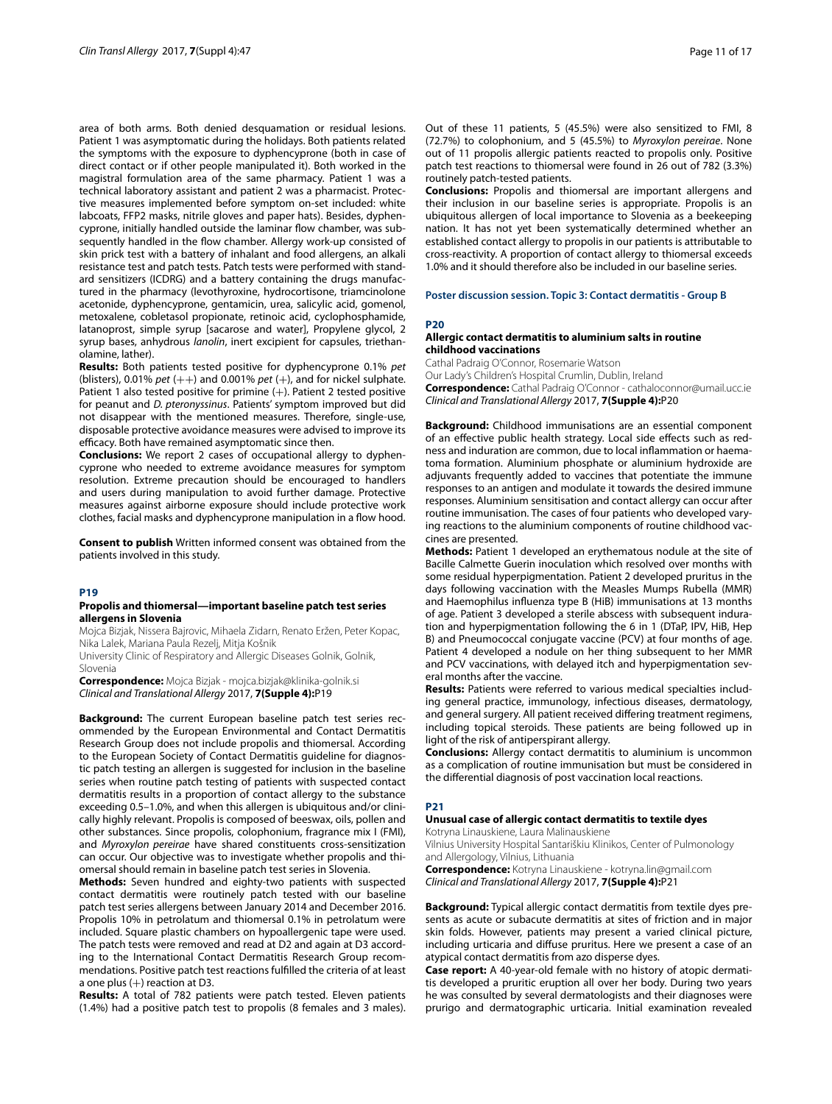area of both arms. Both denied desquamation or residual lesions. Patient 1 was asymptomatic during the holidays. Both patients related the symptoms with the exposure to dyphencyprone (both in case of direct contact or if other people manipulated it). Both worked in the magistral formulation area of the same pharmacy. Patient 1 was a technical laboratory assistant and patient 2 was a pharmacist. Protective measures implemented before symptom on-set included: white labcoats, FFP2 masks, nitrile gloves and paper hats). Besides, dyphencyprone, initially handled outside the laminar fow chamber, was subsequently handled in the flow chamber. Allergy work-up consisted of skin prick test with a battery of inhalant and food allergens, an alkali resistance test and patch tests. Patch tests were performed with standard sensitizers (ICDRG) and a battery containing the drugs manufactured in the pharmacy (levothyroxine, hydrocortisone, triamcinolone acetonide, dyphencyprone, gentamicin, urea, salicylic acid, gomenol, metoxalene, cobletasol propionate, retinoic acid, cyclophosphamide, latanoprost, simple syrup [sacarose and water], Propylene glycol, 2 syrup bases, anhydrous *lanolin*, inert excipient for capsules, triethanolamine, lather).

**Results:** Both patients tested positive for dyphencyprone 0.1% *pet* (blisters), 0.01% *pet*  $(++)$  and 0.001% *pet*  $(+)$ , and for nickel sulphate. Patient 1 also tested positive for primine (+). Patient 2 tested positive for peanut and *D. pteronyssinus*. Patients' symptom improved but did not disappear with the mentioned measures. Therefore, single-use, disposable protective avoidance measures were advised to improve its efficacy. Both have remained asymptomatic since then.

**Conclusions:** We report 2 cases of occupational allergy to dyphencyprone who needed to extreme avoidance measures for symptom resolution. Extreme precaution should be encouraged to handlers and users during manipulation to avoid further damage. Protective measures against airborne exposure should include protective work clothes, facial masks and dyphencyprone manipulation in a flow hood.

**Consent to publish** Written informed consent was obtained from the patients involved in this study.

# **P19**

#### **Propolis and thiomersal—important baseline patch test series allergens in Slovenia**

Mojca Bizjak, Nissera Bajrovic, Mihaela Zidarn, Renato Eržen, Peter Kopac, Nika Lalek, Mariana Paula Rezelj, Mitja Košnik

University Clinic of Respiratory and Allergic Diseases Golnik, Golnik, Slovenia

**Correspondence:** Mojca Bizjak ‑ mojca.bizjak@klinika‑golnik.si *Clinical and Translational Allergy* 2017, **7(Supple 4):**P19

**Background:** The current European baseline patch test series recommended by the European Environmental and Contact Dermatitis Research Group does not include propolis and thiomersal. According to the European Society of Contact Dermatitis guideline for diagnostic patch testing an allergen is suggested for inclusion in the baseline series when routine patch testing of patients with suspected contact dermatitis results in a proportion of contact allergy to the substance exceeding 0.5–1.0%, and when this allergen is ubiquitous and/or clinically highly relevant. Propolis is composed of beeswax, oils, pollen and other substances. Since propolis, colophonium, fragrance mix I (FMI), and *Myroxylon pereirae* have shared constituents cross-sensitization can occur. Our objective was to investigate whether propolis and thiomersal should remain in baseline patch test series in Slovenia.

**Methods:** Seven hundred and eighty-two patients with suspected contact dermatitis were routinely patch tested with our baseline patch test series allergens between January 2014 and December 2016. Propolis 10% in petrolatum and thiomersal 0.1% in petrolatum were included. Square plastic chambers on hypoallergenic tape were used. The patch tests were removed and read at D2 and again at D3 according to the International Contact Dermatitis Research Group recommendations. Positive patch test reactions fulflled the criteria of at least a one plus (+) reaction at D3.

**Results:** A total of 782 patients were patch tested. Eleven patients (1.4%) had a positive patch test to propolis (8 females and 3 males).

Out of these 11 patients, 5 (45.5%) were also sensitized to FMI, 8 (72.7%) to colophonium, and 5 (45.5%) to *Myroxylon pereirae*. None out of 11 propolis allergic patients reacted to propolis only. Positive patch test reactions to thiomersal were found in 26 out of 782 (3.3%) routinely patch-tested patients.

**Conclusions:** Propolis and thiomersal are important allergens and their inclusion in our baseline series is appropriate. Propolis is an ubiquitous allergen of local importance to Slovenia as a beekeeping nation. It has not yet been systematically determined whether an established contact allergy to propolis in our patients is attributable to cross-reactivity. A proportion of contact allergy to thiomersal exceeds 1.0% and it should therefore also be included in our baseline series.

#### **Poster discussion session. Topic 3: Contact dermatitis ‑ Group B**

# **P20**

#### **Allergic contact dermatitis to aluminium salts in routine childhood vaccinations**

Cathal Padraig O'Connor, Rosemarie Watson Our Lady's Children's Hospital Crumlin, Dublin, Ireland **Correspondence:** Cathal Padraig O'Connor ‑ cathaloconnor@umail.ucc.ie *Clinical and Translational Allergy* 2017, **7(Supple 4):**P20

**Background:** Childhood immunisations are an essential component of an effective public health strategy. Local side effects such as redness and induration are common, due to local infammation or haematoma formation. Aluminium phosphate or aluminium hydroxide are adjuvants frequently added to vaccines that potentiate the immune responses to an antigen and modulate it towards the desired immune responses. Aluminium sensitisation and contact allergy can occur after routine immunisation. The cases of four patients who developed varying reactions to the aluminium components of routine childhood vaccines are presented.

**Methods:** Patient 1 developed an erythematous nodule at the site of Bacille Calmette Guerin inoculation which resolved over months with some residual hyperpigmentation. Patient 2 developed pruritus in the days following vaccination with the Measles Mumps Rubella (MMR) and Haemophilus infuenza type B (HiB) immunisations at 13 months of age. Patient 3 developed a sterile abscess with subsequent induration and hyperpigmentation following the 6 in 1 (DTaP, IPV, HiB, Hep B) and Pneumococcal conjugate vaccine (PCV) at four months of age. Patient 4 developed a nodule on her thing subsequent to her MMR and PCV vaccinations, with delayed itch and hyperpigmentation several months after the vaccine.

**Results:** Patients were referred to various medical specialties including general practice, immunology, infectious diseases, dermatology, and general surgery. All patient received difering treatment regimens, including topical steroids. These patients are being followed up in light of the risk of antiperspirant allergy.

**Conclusions:** Allergy contact dermatitis to aluminium is uncommon as a complication of routine immunisation but must be considered in the diferential diagnosis of post vaccination local reactions.

# **P21**

# **Unusual case of allergic contact dermatitis to textile dyes**

Kotryna Linauskiene, Laura Malinauskiene

Vilnius University Hospital Santariškiu Klinikos, Center of Pulmonology and Allergology, Vilnius, Lithuania

**Correspondence:** Kotryna Linauskiene ‑ kotryna.lin@gmail.com *Clinical and Translational Allergy* 2017, **7(Supple 4):**P21

**Background:** Typical allergic contact dermatitis from textile dyes presents as acute or subacute dermatitis at sites of friction and in major skin folds. However, patients may present a varied clinical picture, including urticaria and difuse pruritus. Here we present a case of an atypical contact dermatitis from azo disperse dyes.

**Case report:** A 40-year-old female with no history of atopic dermatitis developed a pruritic eruption all over her body. During two years he was consulted by several dermatologists and their diagnoses were prurigo and dermatographic urticaria. Initial examination revealed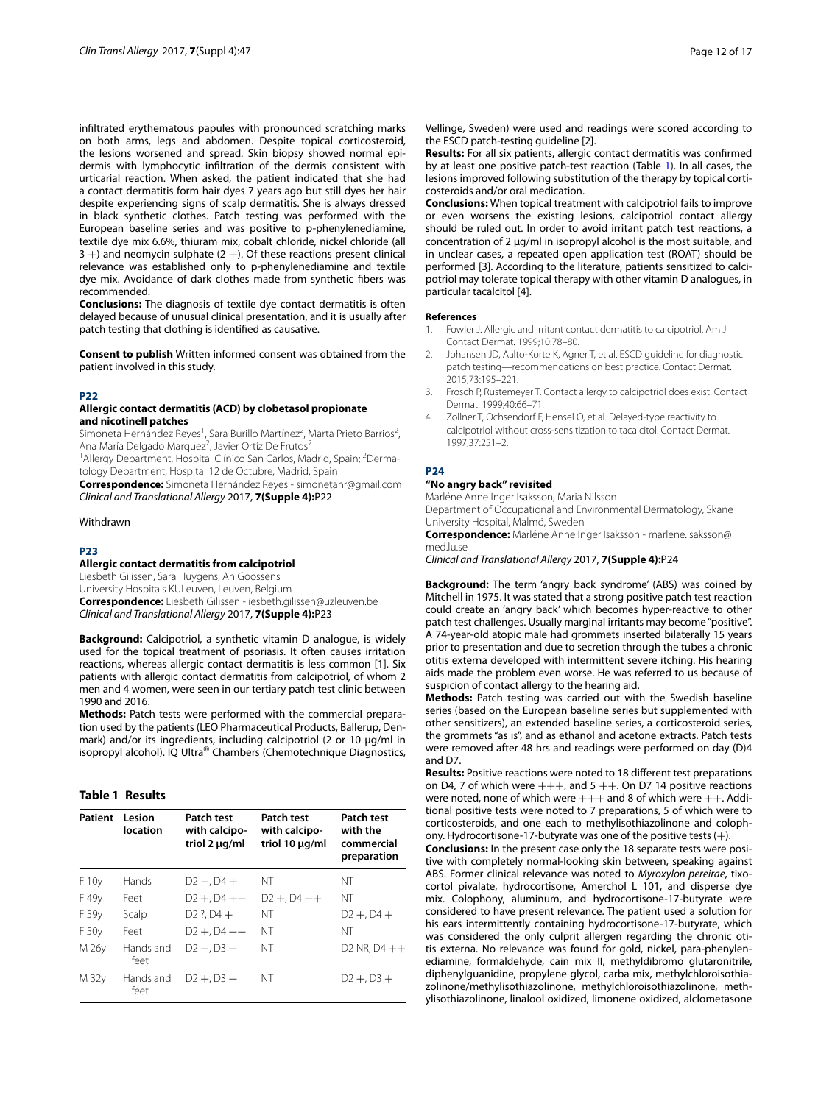infltrated erythematous papules with pronounced scratching marks on both arms, legs and abdomen. Despite topical corticosteroid, the lesions worsened and spread. Skin biopsy showed normal epidermis with lymphocytic infltration of the dermis consistent with urticarial reaction. When asked, the patient indicated that she had a contact dermatitis form hair dyes 7 years ago but still dyes her hair despite experiencing signs of scalp dermatitis. She is always dressed in black synthetic clothes. Patch testing was performed with the European baseline series and was positive to p-phenylenediamine, textile dye mix 6.6%, thiuram mix, cobalt chloride, nickel chloride (all  $3 +$ ) and neomycin sulphate (2 +). Of these reactions present clinical relevance was established only to p-phenylenediamine and textile dye mix. Avoidance of dark clothes made from synthetic fbers was recommended.

**Conclusions:** The diagnosis of textile dye contact dermatitis is often delayed because of unusual clinical presentation, and it is usually after patch testing that clothing is identifed as causative.

**Consent to publish** Written informed consent was obtained from the patient involved in this study.

# **P22**

#### **Allergic contact dermatitis (ACD) by clobetasol propionate and nicotinell patches**

Simoneta Hernández Reyes<sup>1</sup>, Sara Burillo Martínez<sup>2</sup>, Marta Prieto Barrios<sup>2</sup>, Ana María Delgado Marquez<sup>2</sup>, Javier Ortíz De Frutos<sup>2</sup>

<sup>1</sup> Allergy Department, Hospital Clínico San Carlos, Madrid, Spain; <sup>2</sup>Dermatology Department, Hospital 12 de Octubre, Madrid, Spain

**Correspondence:** Simoneta Hernández Reyes ‑ simonetahr@gmail.com *Clinical and Translational Allergy* 2017, **7(Supple 4):**P22

#### Withdrawn

# **P23**

# **Allergic contact dermatitis from calcipotriol**

Liesbeth Gilissen, Sara Huygens, An Goossens

University Hospitals KULeuven, Leuven, Belgium

**Correspondence:** Liesbeth Gilissen ‑liesbeth.gilissen@uzleuven.be *Clinical and Translational Allergy* 2017, **7(Supple 4):**P23

**Background:** Calcipotriol, a synthetic vitamin D analogue, is widely used for the topical treatment of psoriasis. It often causes irritation reactions, whereas allergic contact dermatitis is less common [1]. Six patients with allergic contact dermatitis from calcipotriol, of whom 2 men and 4 women, were seen in our tertiary patch test clinic between 1990 and 2016.

**Methods:** Patch tests were performed with the commercial preparation used by the patients (LEO Pharmaceutical Products, Ballerup, Denmark) and/or its ingredients, including calcipotriol (2 or 10 µg/ml in isopropyl alcohol). IQ Ultra® Chambers (Chemotechnique Diagnostics,

# <span id="page-11-0"></span>**Table 1 Results**

| Patient           | Lesion<br>location | <b>Patch test</b><br>with calcipo-<br>triol $2 \mu g/ml$ | <b>Patch test</b><br>with calcipo-<br>triol 10 µg/ml | <b>Patch test</b><br>with the<br>commercial<br>preparation |
|-------------------|--------------------|----------------------------------------------------------|------------------------------------------------------|------------------------------------------------------------|
| F 10 <sub>V</sub> | Hands              | $D2 - D4 +$                                              | NT                                                   | NΤ                                                         |
| F 49y             | Feet               | $D2 + D4 +$                                              | $D2 + D4 +$                                          | NT                                                         |
| F 59y             | Scalp              | $D2$ ?, $D4 +$                                           | NT                                                   | $D2 + D4 +$                                                |
| F 50y             | Feet               | $D2 + D4 +$                                              | NT                                                   | NT                                                         |
| M 26y             | Hands and<br>feet  | $D2 - D3 +$                                              | NT                                                   | D <sub>2</sub> NR, D <sub>4</sub> + +                      |
| M 32y             | Hands and<br>feet  | $D2 + D3 +$                                              | NΤ                                                   | $D2 + D3 +$                                                |

Vellinge, Sweden) were used and readings were scored according to the ESCD patch-testing guideline [2].

**Results:** For all six patients, allergic contact dermatitis was confrmed by at least one positive patch-test reaction (Table [1](#page-11-0)). In all cases, the lesions improved following substitution of the therapy by topical corticosteroids and/or oral medication.

**Conclusions:** When topical treatment with calcipotriol fails to improve or even worsens the existing lesions, calcipotriol contact allergy should be ruled out. In order to avoid irritant patch test reactions, a concentration of 2 µg/ml in isopropyl alcohol is the most suitable, and in unclear cases, a repeated open application test (ROAT) should be performed [3]. According to the literature, patients sensitized to calcipotriol may tolerate topical therapy with other vitamin D analogues, in particular tacalcitol [4].

#### **References**

- 1. Fowler J. Allergic and irritant contact dermatitis to calcipotriol. Am J Contact Dermat. 1999;10:78–80.
- 2. Johansen JD, Aalto-Korte K, Agner T, et al. ESCD guideline for diagnostic patch testing—recommendations on best practice. Contact Dermat. 2015;73:195–221.
- 3. Frosch P, Rustemeyer T. Contact allergy to calcipotriol does exist. Contact Dermat. 1999;40:66–71.
- 4. Zollner T, Ochsendorf F, Hensel O, et al. Delayed-type reactivity to calcipotriol without cross-sensitization to tacalcitol. Contact Dermat. 1997;37:251–2.

# **P24**

# **"No angry back" revisited**

Marléne Anne Inger Isaksson, Maria Nilsson

Department of Occupational and Environmental Dermatology, Skane University Hospital, Malmö, Sweden

**Correspondence:** Marléne Anne Inger Isaksson ‑ marlene.isaksson@ med.lu.se

*Clinical and Translational Allergy* 2017, **7(Supple 4):**P24

**Background:** The term 'angry back syndrome' (ABS) was coined by Mitchell in 1975. It was stated that a strong positive patch test reaction could create an 'angry back' which becomes hyper-reactive to other patch test challenges. Usually marginal irritants may become "positive". A 74-year-old atopic male had grommets inserted bilaterally 15 years prior to presentation and due to secretion through the tubes a chronic otitis externa developed with intermittent severe itching. His hearing aids made the problem even worse. He was referred to us because of suspicion of contact allergy to the hearing aid.

**Methods:** Patch testing was carried out with the Swedish baseline series (based on the European baseline series but supplemented with other sensitizers), an extended baseline series, a corticosteroid series, the grommets "as is", and as ethanol and acetone extracts. Patch tests were removed after 48 hrs and readings were performed on day (D)4 and D7.

**Results:** Positive reactions were noted to 18 diferent test preparations on D4, 7 of which were  $+++$ , and  $5++$ . On D7 14 positive reactions were noted, none of which were  $+++$  and 8 of which were  $++$ . Additional positive tests were noted to 7 preparations, 5 of which were to corticosteroids, and one each to methylisothiazolinone and colophony. Hydrocortisone-17-butyrate was one of the positive tests  $(+)$ .

**Conclusions:** In the present case only the 18 separate tests were positive with completely normal-looking skin between, speaking against ABS. Former clinical relevance was noted to *Myroxylon pereirae*, tixocortol pivalate, hydrocortisone, Amerchol L 101, and disperse dye mix. Colophony, aluminum, and hydrocortisone-17-butyrate were considered to have present relevance. The patient used a solution for his ears intermittently containing hydrocortisone-17-butyrate, which was considered the only culprit allergen regarding the chronic otitis externa. No relevance was found for gold, nickel, para-phenylenediamine, formaldehyde, cain mix II, methyldibromo glutaronitrile, diphenylguanidine, propylene glycol, carba mix, methylchloroisothiazolinone/methylisothiazolinone, methylchloroisothiazolinone, methylisothiazolinone, linalool oxidized, limonene oxidized, alclometasone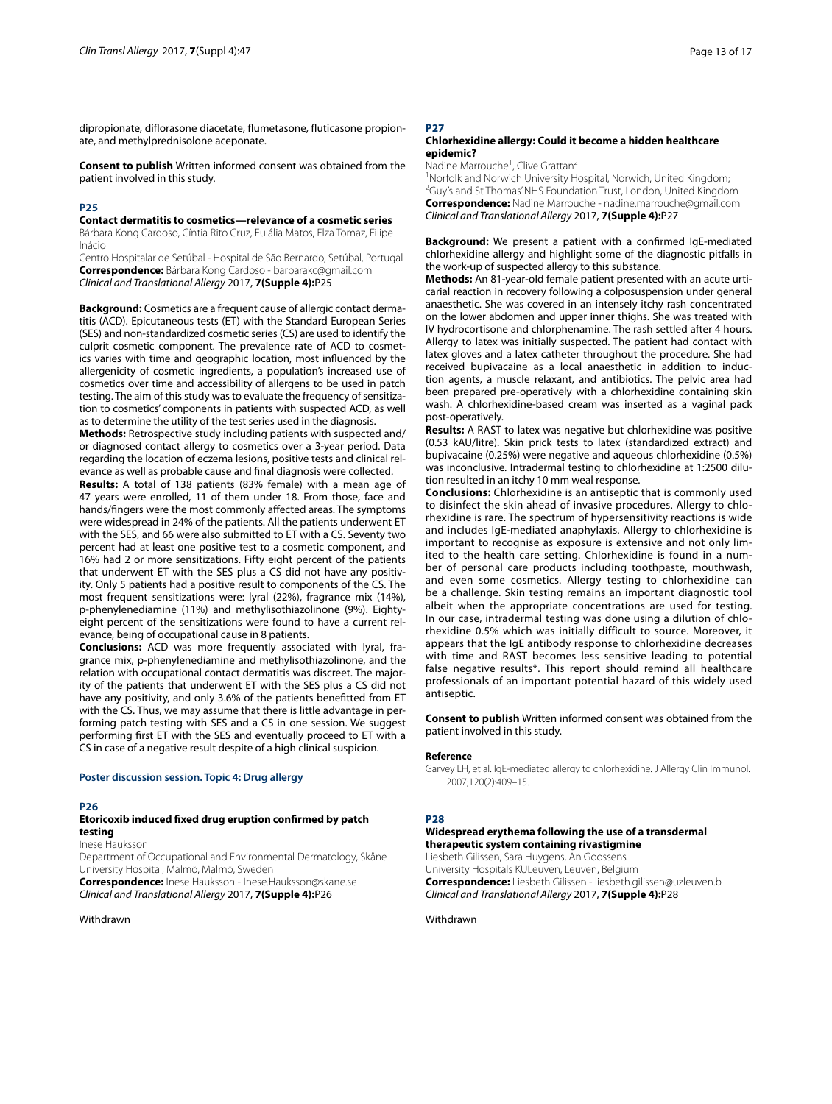dipropionate, diforasone diacetate, fumetasone, futicasone propionate, and methylprednisolone aceponate.

**Consent to publish** Written informed consent was obtained from the patient involved in this study.

#### **P25**

**Contact dermatitis to cosmetics—relevance of a cosmetic series**

Bárbara Kong Cardoso, Cíntia Rito Cruz, Eulália Matos, Elza Tomaz, Filipe Inácio

Centro Hospitalar de Setúbal ‑ Hospital de São Bernardo, Setúbal, Portugal **Correspondence:** Bárbara Kong Cardoso ‑ barbarakc@gmail.com *Clinical and Translational Allergy* 2017, **7(Supple 4):**P25

**Background:** Cosmetics are a frequent cause of allergic contact dermatitis (ACD). Epicutaneous tests (ET) with the Standard European Series (SES) and non-standardized cosmetic series (CS) are used to identify the culprit cosmetic component. The prevalence rate of ACD to cosmetics varies with time and geographic location, most infuenced by the allergenicity of cosmetic ingredients, a population's increased use of cosmetics over time and accessibility of allergens to be used in patch testing. The aim of this study was to evaluate the frequency of sensitization to cosmetics' components in patients with suspected ACD, as well as to determine the utility of the test series used in the diagnosis.

**Methods:** Retrospective study including patients with suspected and/ or diagnosed contact allergy to cosmetics over a 3-year period. Data regarding the location of eczema lesions, positive tests and clinical relevance as well as probable cause and fnal diagnosis were collected.

**Results:** A total of 138 patients (83% female) with a mean age of 47 years were enrolled, 11 of them under 18. From those, face and hands/fngers were the most commonly afected areas. The symptoms were widespread in 24% of the patients. All the patients underwent ET with the SES, and 66 were also submitted to ET with a CS. Seventy two percent had at least one positive test to a cosmetic component, and 16% had 2 or more sensitizations. Fifty eight percent of the patients that underwent ET with the SES plus a CS did not have any positivity. Only 5 patients had a positive result to components of the CS. The most frequent sensitizations were: lyral (22%), fragrance mix (14%), p-phenylenediamine (11%) and methylisothiazolinone (9%). Eightyeight percent of the sensitizations were found to have a current relevance, being of occupational cause in 8 patients.

**Conclusions:** ACD was more frequently associated with lyral, fragrance mix, p-phenylenediamine and methylisothiazolinone, and the relation with occupational contact dermatitis was discreet. The majority of the patients that underwent ET with the SES plus a CS did not have any positivity, and only 3.6% of the patients beneftted from ET with the CS. Thus, we may assume that there is little advantage in performing patch testing with SES and a CS in one session. We suggest performing frst ET with the SES and eventually proceed to ET with a CS in case of a negative result despite of a high clinical suspicion.

# **Poster discussion session. Topic 4: Drug allergy**

#### **P26**

#### **Etoricoxib induced fxed drug eruption confrmed by patch testing**

Inese Hauksson

Department of Occupational and Environmental Dermatology, Skåne University Hospital, Malmö, Malmö, Sweden

**Correspondence:** Inese Hauksson ‑ Inese.Hauksson@skane.se *Clinical and Translational Allergy* 2017, **7(Supple 4):**P26

# Withdrawn

# **P27**

# **Chlorhexidine allergy: Could it become a hidden healthcare epidemic?**

Nadine Marrouche<sup>1</sup>, Clive Grattan<sup>2</sup>

<sup>1</sup> Norfolk and Norwich University Hospital, Norwich, United Kingdom;<br><sup>2</sup>Guy's and St Thomas' NHS Foundation Trust London, United Kingdon <sup>2</sup>Guy's and St Thomas' NHS Foundation Trust, London, United Kingdom **Correspondence:** Nadine Marrouche ‑ nadine.marrouche@gmail.com *Clinical and Translational Allergy* 2017, **7(Supple 4):**P27

**Background:** We present a patient with a confrmed IgE-mediated chlorhexidine allergy and highlight some of the diagnostic pitfalls in the work-up of suspected allergy to this substance.

**Methods:** An 81-year-old female patient presented with an acute urticarial reaction in recovery following a colposuspension under general anaesthetic. She was covered in an intensely itchy rash concentrated on the lower abdomen and upper inner thighs. She was treated with IV hydrocortisone and chlorphenamine. The rash settled after 4 hours. Allergy to latex was initially suspected. The patient had contact with latex gloves and a latex catheter throughout the procedure. She had received bupivacaine as a local anaesthetic in addition to induction agents, a muscle relaxant, and antibiotics. The pelvic area had been prepared pre-operatively with a chlorhexidine containing skin wash. A chlorhexidine-based cream was inserted as a vaginal pack post-operatively.

**Results:** A RAST to latex was negative but chlorhexidine was positive (0.53 kAU/litre). Skin prick tests to latex (standardized extract) and bupivacaine (0.25%) were negative and aqueous chlorhexidine (0.5%) was inconclusive. Intradermal testing to chlorhexidine at 1:2500 dilution resulted in an itchy 10 mm weal response.

**Conclusions:** Chlorhexidine is an antiseptic that is commonly used to disinfect the skin ahead of invasive procedures. Allergy to chlorhexidine is rare. The spectrum of hypersensitivity reactions is wide and includes IgE-mediated anaphylaxis. Allergy to chlorhexidine is important to recognise as exposure is extensive and not only limited to the health care setting. Chlorhexidine is found in a number of personal care products including toothpaste, mouthwash, and even some cosmetics. Allergy testing to chlorhexidine can be a challenge. Skin testing remains an important diagnostic tool albeit when the appropriate concentrations are used for testing. In our case, intradermal testing was done using a dilution of chlorhexidine 0.5% which was initially difficult to source. Moreover, it appears that the IgE antibody response to chlorhexidine decreases with time and RAST becomes less sensitive leading to potential false negative results\*. This report should remind all healthcare professionals of an important potential hazard of this widely used antiseptic.

**Consent to publish** Written informed consent was obtained from the patient involved in this study.

#### **Reference**

Garvey LH, et al. IgE-mediated allergy to chlorhexidine. J Allergy Clin Immunol. 2007;120(2):409–15.

## **P28**

# **Widespread erythema following the use of a transdermal therapeutic system containing rivastigmine**

Liesbeth Gilissen, Sara Huygens, An Goossens University Hospitals KULeuven, Leuven, Belgium **Correspondence:** Liesbeth Gilissen ‑ liesbeth.gilissen@uzleuven.b *Clinical and Translational Allergy* 2017, **7(Supple 4):**P28

# Withdrawn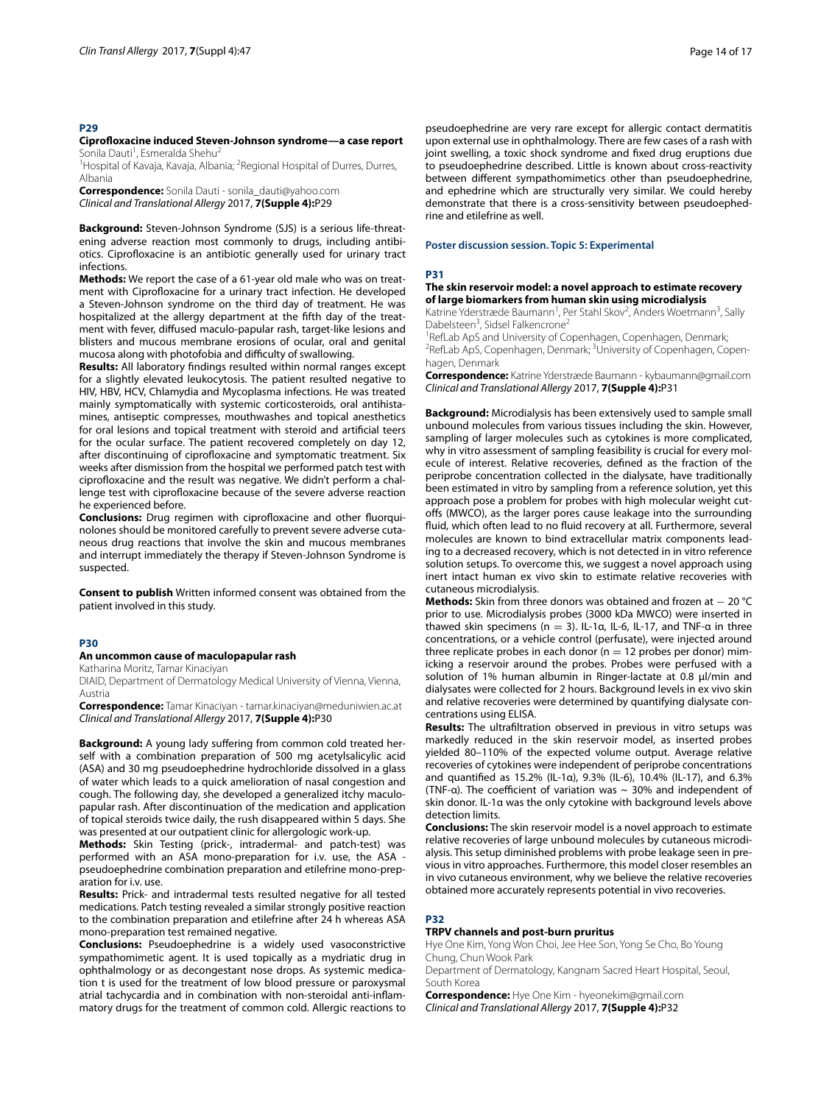#### **P29**

# **Ciprofoxacine induced Steven‑Johnson syndrome—a case report** Sonila Dauti<sup>1</sup>, Esmeralda Shehu<sup>2</sup>

<sup>1</sup> Hospital of Kavaja, Kavaja, Albania; <sup>2</sup> Regional Hospital of Durres, Durres, Albania

**Correspondence:** Sonila Dauti ‑ sonila\_dauti@yahoo.com *Clinical and Translational Allergy* 2017, **7(Supple 4):**P29

**Background:** Steven-Johnson Syndrome (SJS) is a serious life-threatening adverse reaction most commonly to drugs, including antibiotics. Ciprofoxacine is an antibiotic generally used for urinary tract infections.

**Methods:** We report the case of a 61-year old male who was on treatment with Ciprofloxacine for a urinary tract infection. He developed a Steven-Johnson syndrome on the third day of treatment. He was hospitalized at the allergy department at the ffth day of the treatment with fever, difused maculo-papular rash, target-like lesions and blisters and mucous membrane erosions of ocular, oral and genital mucosa along with photofobia and difficulty of swallowing.

**Results:** All laboratory fndings resulted within normal ranges except for a slightly elevated leukocytosis. The patient resulted negative to HIV, HBV, HCV, Chlamydia and Mycoplasma infections. He was treated mainly symptomatically with systemic corticosteroids, oral antihistamines, antiseptic compresses, mouthwashes and topical anesthetics for oral lesions and topical treatment with steroid and artifcial teers for the ocular surface. The patient recovered completely on day 12, after discontinuing of ciprofloxacine and symptomatic treatment. Six weeks after dismission from the hospital we performed patch test with ciprofloxacine and the result was negative. We didn't perform a challenge test with ciprofloxacine because of the severe adverse reaction he experienced before.

**Conclusions:** Drug regimen with ciprofoxacine and other fuorquinolones should be monitored carefully to prevent severe adverse cutaneous drug reactions that involve the skin and mucous membranes and interrupt immediately the therapy if Steven-Johnson Syndrome is suspected.

**Consent to publish** Written informed consent was obtained from the patient involved in this study.

# **P30**

# **An uncommon cause of maculopapular rash**

Katharina Moritz, Tamar Kinaciyan

DIAID, Department of Dermatology Medical University of Vienna, Vienna, Austria

**Correspondence:** Tamar Kinaciyan ‑ tamar.kinaciyan@meduniwien.ac.at *Clinical and Translational Allergy* 2017, **7(Supple 4):**P30

**Background:** A young lady suffering from common cold treated herself with a combination preparation of 500 mg acetylsalicylic acid (ASA) and 30 mg pseudoephedrine hydrochloride dissolved in a glass of water which leads to a quick amelioration of nasal congestion and cough. The following day, she developed a generalized itchy maculopapular rash. After discontinuation of the medication and application of topical steroids twice daily, the rush disappeared within 5 days. She was presented at our outpatient clinic for allergologic work-up.

**Methods:** Skin Testing (prick-, intradermal- and patch-test) was performed with an ASA mono-preparation for i.v. use, the ASA pseudoephedrine combination preparation and etilefrine mono-preparation for i.v. use.

**Results:** Prick- and intradermal tests resulted negative for all tested medications. Patch testing revealed a similar strongly positive reaction to the combination preparation and etilefrine after 24 h whereas ASA mono-preparation test remained negative.

**Conclusions:** Pseudoephedrine is a widely used vasoconstrictive sympathomimetic agent. It is used topically as a mydriatic drug in ophthalmology or as decongestant nose drops. As systemic medication t is used for the treatment of low blood pressure or paroxysmal atrial tachycardia and in combination with non-steroidal anti-infammatory drugs for the treatment of common cold. Allergic reactions to

pseudoephedrine are very rare except for allergic contact dermatitis upon external use in ophthalmology. There are few cases of a rash with joint swelling, a toxic shock syndrome and fxed drug eruptions due to pseudoephedrine described. Little is known about cross-reactivity between diferent sympathomimetics other than pseudoephedrine, and ephedrine which are structurally very similar. We could hereby demonstrate that there is a cross-sensitivity between pseudoephedrine and etilefrine as well.

#### **Poster discussion session. Topic 5: Experimental**

#### **P31**

# **The skin reservoir model: a novel approach to estimate recovery of large biomarkers from human skin using microdialysis**

Katrine Yderstræde Baumann<sup>1</sup>, Per Stahl Skov<sup>2</sup>, Anders Woetmann<sup>3</sup>, Sally Dabelsteen<sup>3</sup>, Sidsel Falkencrone<sup>2</sup>

<sup>1</sup> RefLab ApS and University of Copenhagen, Copenhagen, Denmark;<br><sup>2</sup> RefLab ApS, Copenhagen, Denmark: <sup>3</sup> University of Copenhagen, Co

RefLab ApS, Copenhagen, Denmark; <sup>3</sup>University of Copenhagen, Copenhagen, Denmark

**Correspondence:** Katrine Yderstræde Baumann ‑ kybaumann@gmail.com *Clinical and Translational Allergy* 2017, **7(Supple 4):**P31

**Background:** Microdialysis has been extensively used to sample small unbound molecules from various tissues including the skin. However, sampling of larger molecules such as cytokines is more complicated, why in vitro assessment of sampling feasibility is crucial for every molecule of interest. Relative recoveries, defned as the fraction of the periprobe concentration collected in the dialysate, have traditionally been estimated in vitro by sampling from a reference solution, yet this approach pose a problem for probes with high molecular weight cutofs (MWCO), as the larger pores cause leakage into the surrounding fuid, which often lead to no fuid recovery at all. Furthermore, several molecules are known to bind extracellular matrix components leading to a decreased recovery, which is not detected in in vitro reference solution setups. To overcome this, we suggest a novel approach using inert intact human ex vivo skin to estimate relative recoveries with cutaneous microdialysis.

**Methods:** Skin from three donors was obtained and frozen at − 20 °C prior to use. Microdialysis probes (3000 kDa MWCO) were inserted in thawed skin specimens ( $n = 3$ ). IL-1a, IL-6, IL-17, and TNF-a in three concentrations, or a vehicle control (perfusate), were injected around three replicate probes in each donor ( $n = 12$  probes per donor) mimicking a reservoir around the probes. Probes were perfused with a solution of 1% human albumin in Ringer-lactate at 0.8 µl/min and dialysates were collected for 2 hours. Background levels in ex vivo skin and relative recoveries were determined by quantifying dialysate concentrations using ELISA.

**Results:** The ultrafltration observed in previous in vitro setups was markedly reduced in the skin reservoir model, as inserted probes yielded 80–110% of the expected volume output. Average relative recoveries of cytokines were independent of periprobe concentrations and quantifed as 15.2% (IL-1α), 9.3% (IL-6), 10.4% (IL-17), and 6.3% (TNF- $\alpha$ ). The coefficient of variation was  $\sim$  30% and independent of skin donor. IL-1α was the only cytokine with background levels above detection limits.

**Conclusions:** The skin reservoir model is a novel approach to estimate relative recoveries of large unbound molecules by cutaneous microdialysis. This setup diminished problems with probe leakage seen in previous in vitro approaches. Furthermore, this model closer resembles an in vivo cutaneous environment, why we believe the relative recoveries obtained more accurately represents potential in vivo recoveries.

# **P32**

# **TRPV channels and post‑burn pruritus**

Hye One Kim, Yong Won Choi, Jee Hee Son, Yong Se Cho, Bo Young Chung, Chun Wook Park

Department of Dermatology, Kangnam Sacred Heart Hospital, Seoul, South Korea

**Correspondence:** Hye One Kim ‑ hyeonekim@gmail.com *Clinical and Translational Allergy* 2017, **7(Supple 4):**P32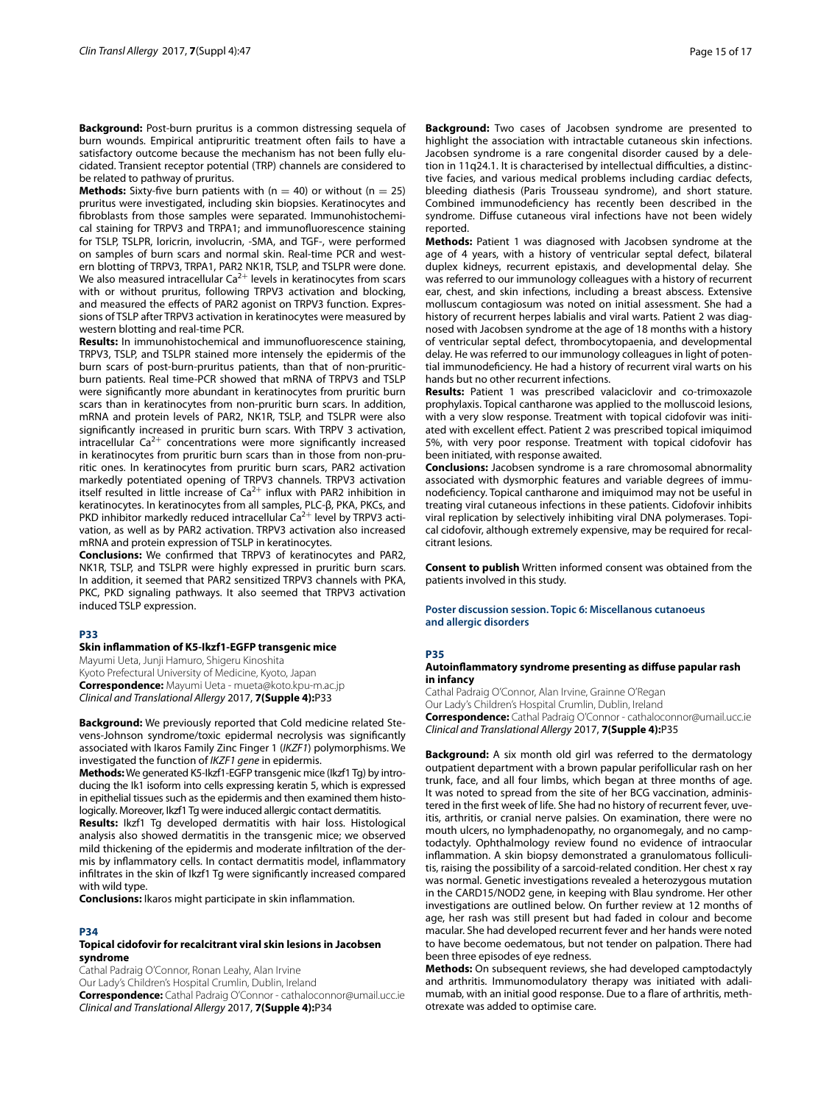**Background:** Post-burn pruritus is a common distressing sequela of burn wounds. Empirical antipruritic treatment often fails to have a satisfactory outcome because the mechanism has not been fully elucidated. Transient receptor potential (TRP) channels are considered to be related to pathway of pruritus.

**Methods:** Sixty-five burn patients with ( $n = 40$ ) or without ( $n = 25$ ) pruritus were investigated, including skin biopsies. Keratinocytes and fbroblasts from those samples were separated. Immunohistochemical staining for TRPV3 and TRPA1; and immunofuorescence staining for TSLP, TSLPR, loricrin, involucrin, -SMA, and TGF-, were performed on samples of burn scars and normal skin. Real-time PCR and western blotting of TRPV3, TRPA1, PAR2 NK1R, TSLP, and TSLPR were done. We also measured intracellular  $Ca^{2+}$  levels in keratinocytes from scars with or without pruritus, following TRPV3 activation and blocking, and measured the efects of PAR2 agonist on TRPV3 function. Expressions of TSLP after TRPV3 activation in keratinocytes were measured by western blotting and real-time PCR.

**Results:** In immunohistochemical and immunofuorescence staining, TRPV3, TSLP, and TSLPR stained more intensely the epidermis of the burn scars of post-burn-pruritus patients, than that of non-pruriticburn patients. Real time-PCR showed that mRNA of TRPV3 and TSLP were signifcantly more abundant in keratinocytes from pruritic burn scars than in keratinocytes from non-pruritic burn scars. In addition, mRNA and protein levels of PAR2, NK1R, TSLP, and TSLPR were also signifcantly increased in pruritic burn scars. With TRPV 3 activation, intracellular  $Ca^{2+}$  concentrations were more significantly increased in keratinocytes from pruritic burn scars than in those from non-pruritic ones. In keratinocytes from pruritic burn scars, PAR2 activation markedly potentiated opening of TRPV3 channels. TRPV3 activation itself resulted in little increase of  $Ca^{2+}$  influx with PAR2 inhibition in keratinocytes. In keratinocytes from all samples, PLC-β, PKA, PKCs, and PKD inhibitor markedly reduced intracellular  $Ca^{2+}$  level by TRPV3 activation, as well as by PAR2 activation. TRPV3 activation also increased mRNA and protein expression of TSLP in keratinocytes.

**Conclusions:** We confrmed that TRPV3 of keratinocytes and PAR2, NK1R, TSLP, and TSLPR were highly expressed in pruritic burn scars. In addition, it seemed that PAR2 sensitized TRPV3 channels with PKA, PKC, PKD signaling pathways. It also seemed that TRPV3 activation induced TSLP expression.

#### **P33**

**Skin infammation of K5‑Ikzf1‑EGFP transgenic mice**

Mayumi Ueta, Junji Hamuro, Shigeru Kinoshita Kyoto Prefectural University of Medicine, Kyoto, Japan **Correspondence:** Mayumi Ueta ‑ mueta@koto.kpu‑m.ac.jp *Clinical and Translational Allergy* 2017, **7(Supple 4):**P33

**Background:** We previously reported that Cold medicine related Stevens-Johnson syndrome/toxic epidermal necrolysis was signifcantly associated with Ikaros Family Zinc Finger 1 (*IKZF1*) polymorphisms. We investigated the function of *IKZF1 gene* in epidermis.

**Methods:** We generated K5-Ikzf1-EGFP transgenic mice (Ikzf1 Tg) by introducing the Ik1 isoform into cells expressing keratin 5, which is expressed in epithelial tissues such as the epidermis and then examined them histologically. Moreover, Ikzf1 Tg were induced allergic contact dermatitis.

**Results:** Ikzf1 Tg developed dermatitis with hair loss. Histological analysis also showed dermatitis in the transgenic mice; we observed mild thickening of the epidermis and moderate infltration of the dermis by infammatory cells. In contact dermatitis model, infammatory infltrates in the skin of Ikzf1 Tg were signifcantly increased compared with wild type.

**Conclusions:** Ikaros might participate in skin infammation.

#### **P34**

# **Topical cidofovir for recalcitrant viral skin lesions in Jacobsen syndrome**

Cathal Padraig O'Connor, Ronan Leahy, Alan Irvine Our Lady's Children's Hospital Crumlin, Dublin, Ireland **Correspondence:** Cathal Padraig O'Connor ‑ cathaloconnor@umail.ucc.ie *Clinical and Translational Allergy* 2017, **7(Supple 4):**P34

**Background:** Two cases of Jacobsen syndrome are presented to highlight the association with intractable cutaneous skin infections. Jacobsen syndrome is a rare congenital disorder caused by a deletion in 11q24.1. It is characterised by intellectual difficulties, a distinctive facies, and various medical problems including cardiac defects, bleeding diathesis (Paris Trousseau syndrome), and short stature. Combined immunodefciency has recently been described in the syndrome. Diffuse cutaneous viral infections have not been widely reported.

**Methods:** Patient 1 was diagnosed with Jacobsen syndrome at the age of 4 years, with a history of ventricular septal defect, bilateral duplex kidneys, recurrent epistaxis, and developmental delay. She was referred to our immunology colleagues with a history of recurrent ear, chest, and skin infections, including a breast abscess. Extensive molluscum contagiosum was noted on initial assessment. She had a history of recurrent herpes labialis and viral warts. Patient 2 was diagnosed with Jacobsen syndrome at the age of 18 months with a history of ventricular septal defect, thrombocytopaenia, and developmental delay. He was referred to our immunology colleagues in light of potential immunodefciency. He had a history of recurrent viral warts on his hands but no other recurrent infections.

**Results:** Patient 1 was prescribed valaciclovir and co-trimoxazole prophylaxis. Topical cantharone was applied to the molluscoid lesions, with a very slow response. Treatment with topical cidofovir was initiated with excellent effect. Patient 2 was prescribed topical imiquimod 5%, with very poor response. Treatment with topical cidofovir has been initiated, with response awaited.

**Conclusions:** Jacobsen syndrome is a rare chromosomal abnormality associated with dysmorphic features and variable degrees of immunodefciency. Topical cantharone and imiquimod may not be useful in treating viral cutaneous infections in these patients. Cidofovir inhibits viral replication by selectively inhibiting viral DNA polymerases. Topical cidofovir, although extremely expensive, may be required for recalcitrant lesions.

**Consent to publish** Written informed consent was obtained from the patients involved in this study.

# **Poster discussion session. Topic 6: Miscellanous cutanoeus and allergic disorders**

#### **P35**

#### **Autoinfammatory syndrome presenting as difuse papular rash in infancy**

Cathal Padraig O'Connor, Alan Irvine, Grainne O'Regan Our Lady's Children's Hospital Crumlin, Dublin, Ireland **Correspondence:** Cathal Padraig O'Connor ‑ cathaloconnor@umail.ucc.ie *Clinical and Translational Allergy* 2017, **7(Supple 4):**P35

**Background:** A six month old girl was referred to the dermatology outpatient department with a brown papular perifollicular rash on her trunk, face, and all four limbs, which began at three months of age. It was noted to spread from the site of her BCG vaccination, administered in the frst week of life. She had no history of recurrent fever, uveitis, arthritis, or cranial nerve palsies. On examination, there were no mouth ulcers, no lymphadenopathy, no organomegaly, and no camptodactyly. Ophthalmology review found no evidence of intraocular infammation. A skin biopsy demonstrated a granulomatous folliculitis, raising the possibility of a sarcoid-related condition. Her chest x ray was normal. Genetic investigations revealed a heterozygous mutation in the CARD15/NOD2 gene, in keeping with Blau syndrome. Her other investigations are outlined below. On further review at 12 months of age, her rash was still present but had faded in colour and become macular. She had developed recurrent fever and her hands were noted to have become oedematous, but not tender on palpation. There had been three episodes of eye redness.

**Methods:** On subsequent reviews, she had developed camptodactyly and arthritis. Immunomodulatory therapy was initiated with adalimumab, with an initial good response. Due to a fare of arthritis, methotrexate was added to optimise care.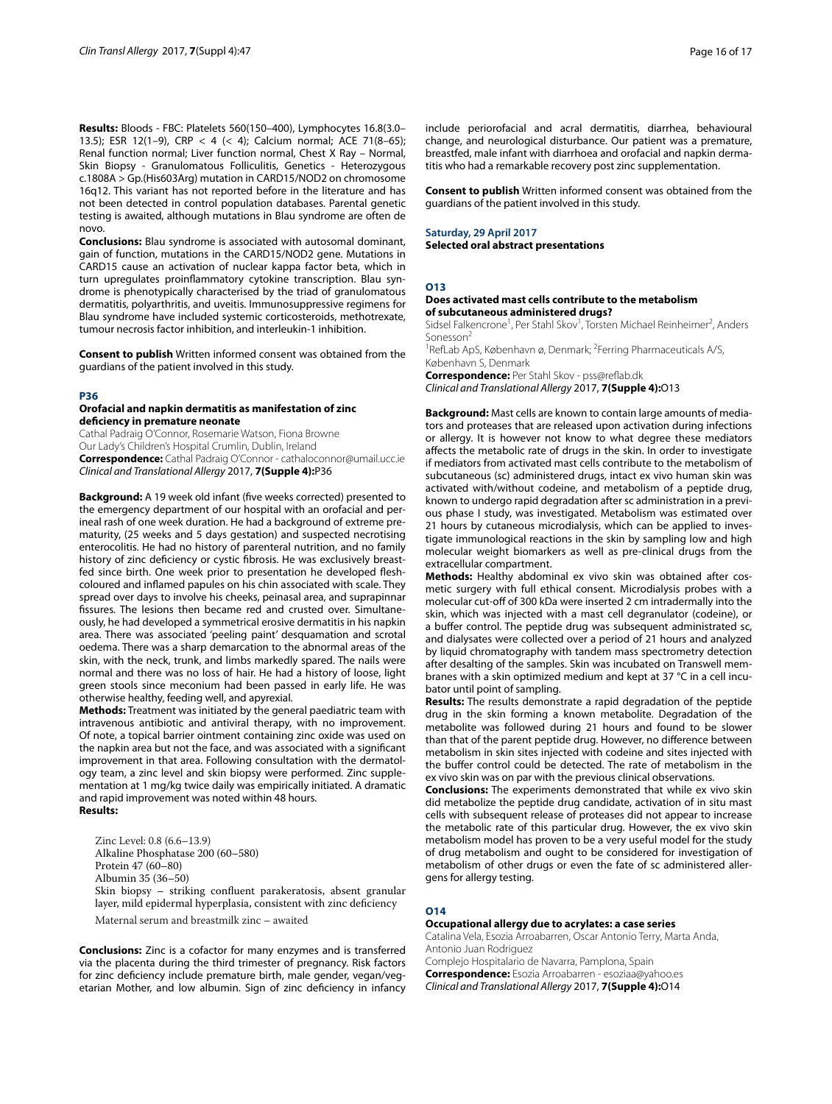**Results:** Bloods - FBC: Platelets 560(150–400), Lymphocytes 16.8(3.0– 13.5); ESR 12(1–9), CRP < 4 (< 4); Calcium normal; ACE 71(8–65); Renal function normal; Liver function normal, Chest X Ray – Normal, Skin Biopsy - Granulomatous Folliculitis, Genetics - Heterozygous c.1808A > Gp.(His603Arg) mutation in CARD15/NOD2 on chromosome 16q12. This variant has not reported before in the literature and has not been detected in control population databases. Parental genetic testing is awaited, although mutations in Blau syndrome are often de novo.

**Conclusions:** Blau syndrome is associated with autosomal dominant, gain of function, mutations in the CARD15/NOD2 gene. Mutations in CARD15 cause an activation of nuclear kappa factor beta, which in turn upregulates proinfammatory cytokine transcription. Blau syndrome is phenotypically characterised by the triad of granulomatous dermatitis, polyarthritis, and uveitis. Immunosuppressive regimens for Blau syndrome have included systemic corticosteroids, methotrexate, tumour necrosis factor inhibition, and interleukin-1 inhibition.

**Consent to publish** Written informed consent was obtained from the guardians of the patient involved in this study.

#### **P36**

# **Orofacial and napkin dermatitis as manifestation of zinc defciency in premature neonate**

Cathal Padraig O'Connor, Rosemarie Watson, Fiona Browne Our Lady's Children's Hospital Crumlin, Dublin, Ireland **Correspondence:** Cathal Padraig O'Connor ‑ cathaloconnor@umail.ucc.ie *Clinical and Translational Allergy* 2017, **7(Supple 4):**P36

**Background:** A 19 week old infant (fve weeks corrected) presented to the emergency department of our hospital with an orofacial and perineal rash of one week duration. He had a background of extreme prematurity, (25 weeks and 5 days gestation) and suspected necrotising enterocolitis. He had no history of parenteral nutrition, and no family history of zinc defciency or cystic fbrosis. He was exclusively breastfed since birth. One week prior to presentation he developed feshcoloured and infamed papules on his chin associated with scale. They spread over days to involve his cheeks, peinasal area, and suprapinnar fssures. The lesions then became red and crusted over. Simultaneously, he had developed a symmetrical erosive dermatitis in his napkin area. There was associated 'peeling paint' desquamation and scrotal oedema. There was a sharp demarcation to the abnormal areas of the skin, with the neck, trunk, and limbs markedly spared. The nails were normal and there was no loss of hair. He had a history of loose, light green stools since meconium had been passed in early life. He was otherwise healthy, feeding well, and apyrexial.

**Methods:** Treatment was initiated by the general paediatric team with intravenous antibiotic and antiviral therapy, with no improvement. Of note, a topical barrier ointment containing zinc oxide was used on the napkin area but not the face, and was associated with a signifcant improvement in that area. Following consultation with the dermatology team, a zinc level and skin biopsy were performed. Zinc supplementation at 1 mg/kg twice daily was empirically initiated. A dramatic and rapid improvement was noted within 48 hours. **Results:**

Zinc Level: 0.8 (6.6–13.9) Alkaline Phosphatase 200 (60–580) Protein 47 (60–80) Albumin 35 (36–50) Skin biopsy – striking confuent parakeratosis, absent granular layer, mild epidermal hyperplasia, consistent with zinc defciency Maternal serum and breastmilk zinc – awaited

**Conclusions:** Zinc is a cofactor for many enzymes and is transferred via the placenta during the third trimester of pregnancy. Risk factors for zinc defciency include premature birth, male gender, vegan/vegetarian Mother, and low albumin. Sign of zinc defciency in infancy include periorofacial and acral dermatitis, diarrhea, behavioural change, and neurological disturbance. Our patient was a premature, breastfed, male infant with diarrhoea and orofacial and napkin dermatitis who had a remarkable recovery post zinc supplementation.

**Consent to publish** Written informed consent was obtained from the guardians of the patient involved in this study.

# **Saturday, 29 April 2017**

**Selected oral abstract presentations**

# **O13**

#### **Does activated mast cells contribute to the metabolism of subcutaneous administered drugs?**

Sidsel Falkencrone<sup>1</sup>, Per Stahl Skov<sup>1</sup>, Torsten Michael Reinheimer<sup>2</sup>, Anders Sonesson<sup>2</sup>

<sup>1</sup>RefLab ApS, København ø, Denmark; <sup>2</sup>Ferring Pharmaceuticals A/S, København S, Denmark

**Correspondence:** Per Stahl Skov ‑ pss@refab.dk *Clinical and Translational Allergy* 2017, **7(Supple 4):**O13

**Background:** Mast cells are known to contain large amounts of mediators and proteases that are released upon activation during infections or allergy. It is however not know to what degree these mediators afects the metabolic rate of drugs in the skin. In order to investigate if mediators from activated mast cells contribute to the metabolism of subcutaneous (sc) administered drugs, intact ex vivo human skin was activated with/without codeine, and metabolism of a peptide drug, known to undergo rapid degradation after sc administration in a previous phase I study, was investigated. Metabolism was estimated over 21 hours by cutaneous microdialysis, which can be applied to investigate immunological reactions in the skin by sampling low and high molecular weight biomarkers as well as pre-clinical drugs from the extracellular compartment.

**Methods:** Healthy abdominal ex vivo skin was obtained after cosmetic surgery with full ethical consent. Microdialysis probes with a molecular cut-off of 300 kDa were inserted 2 cm intradermally into the skin, which was injected with a mast cell degranulator (codeine), or a buffer control. The peptide drug was subsequent administrated sc, and dialysates were collected over a period of 21 hours and analyzed by liquid chromatography with tandem mass spectrometry detection after desalting of the samples. Skin was incubated on Transwell membranes with a skin optimized medium and kept at 37 °C in a cell incubator until point of sampling.

**Results:** The results demonstrate a rapid degradation of the peptide drug in the skin forming a known metabolite. Degradation of the metabolite was followed during 21 hours and found to be slower than that of the parent peptide drug. However, no diference between metabolism in skin sites injected with codeine and sites injected with the buffer control could be detected. The rate of metabolism in the ex vivo skin was on par with the previous clinical observations.

**Conclusions:** The experiments demonstrated that while ex vivo skin did metabolize the peptide drug candidate, activation of in situ mast cells with subsequent release of proteases did not appear to increase the metabolic rate of this particular drug. However, the ex vivo skin metabolism model has proven to be a very useful model for the study of drug metabolism and ought to be considered for investigation of metabolism of other drugs or even the fate of sc administered allergens for allergy testing.

# **O14**

#### **Occupational allergy due to acrylates: a case series**

Catalina Vela, Esozia Arroabarren, Oscar Antonio Terry, Marta Anda, Antonio Juan Rodriguez

Complejo Hospitalario de Navarra, Pamplona, Spain **Correspondence:** Esozia Arroabarren ‑ esoziaa@yahoo.es *Clinical and Translational Allergy* 2017, **7(Supple 4):**O14